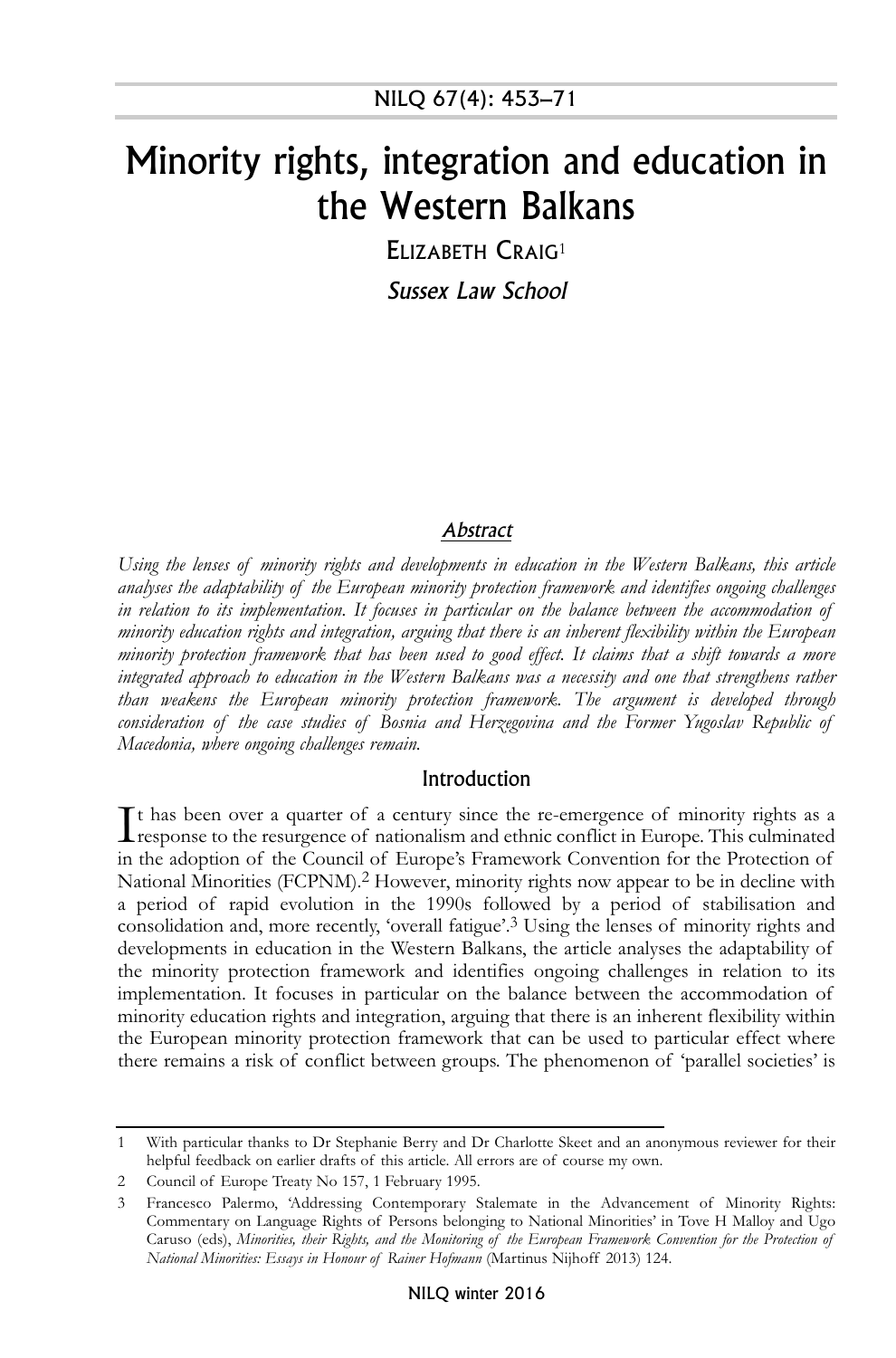# Minority rights, integration and education in the Western Balkans

ELIZABETH CRAIG<sup>1</sup> Sussex Law School

#### Abstract

*Using the lenses of minority rights and developments in education in the Western Balkans, this article analyses the adaptability of the European minority protection framework and identifies ongoing challenges in relation to its implementation. It focuses in particular on the balance between the accommodation of minority education rights and integration, arguing that there is an inherent flexibility within the European* minority protection framework that has been used to good effect. It claims that a shift towards a more *integrated approach to education in the Western Balkans was a necessity and one that strengthens rather than weakens the European minority protection framework. The argument is developed through consideration of the case studies of Bosnia and Herzegovina and the Former Yugoslav Republic of Macedonia, where ongoing challenges remain.*

#### Introduction

It has been over a quarter of a century since the re-emergence of minority rights as a response to the resurgence of nationalism and ethnic conflict in Europe. This culminated t has been over a quarter of a century since the re-emergence of minority rights as a in the adoption of the Council of Europe's Framework Convention for the Protection of National Minorities (FCPNM).<sup>2</sup> However, minority rights now appear to be in decline with a period of rapid evolution in the 1990s followed by a period of stabilisation and consolidation and, more recently, 'overall fatigue'. 3 Using the lenses of minority rights and developments in education in the Western Balkans, the article analyses the adaptability of the minority protection framework and identifies ongoing challenges in relation to its implementation. It focuses in particular on the balance between the accommodation of minority education rights and integration, arguing that there is an inherent flexibility within the European minority protection framework that can be used to particular effect where there remains a risk of conflict between groups. The phenomenon of 'parallel societies' is

<sup>1</sup> With particular thanks to Dr Stephanie Berry and Dr Charlotte Skeet and an anonymous reviewer for their helpful feedback on earlier drafts of this article. All errors are of course my own.

<sup>2</sup> Council of Europe Treaty No 157, 1 February 1995.

<sup>3</sup> Francesco Palermo, 'Addressing Contemporary Stalemate in the Advancement of Minority Rights: Commentary on Language Rights of Persons belonging to National Minorities' in Tove H Malloy and Ugo Caruso (eds), *Minorities, their Rights, and the Monitoring of the European Framework Convention for the Protection of National Minorities: Essays in Honour of Rainer Hofmann* (Martinus Nijhoff 2013) 124.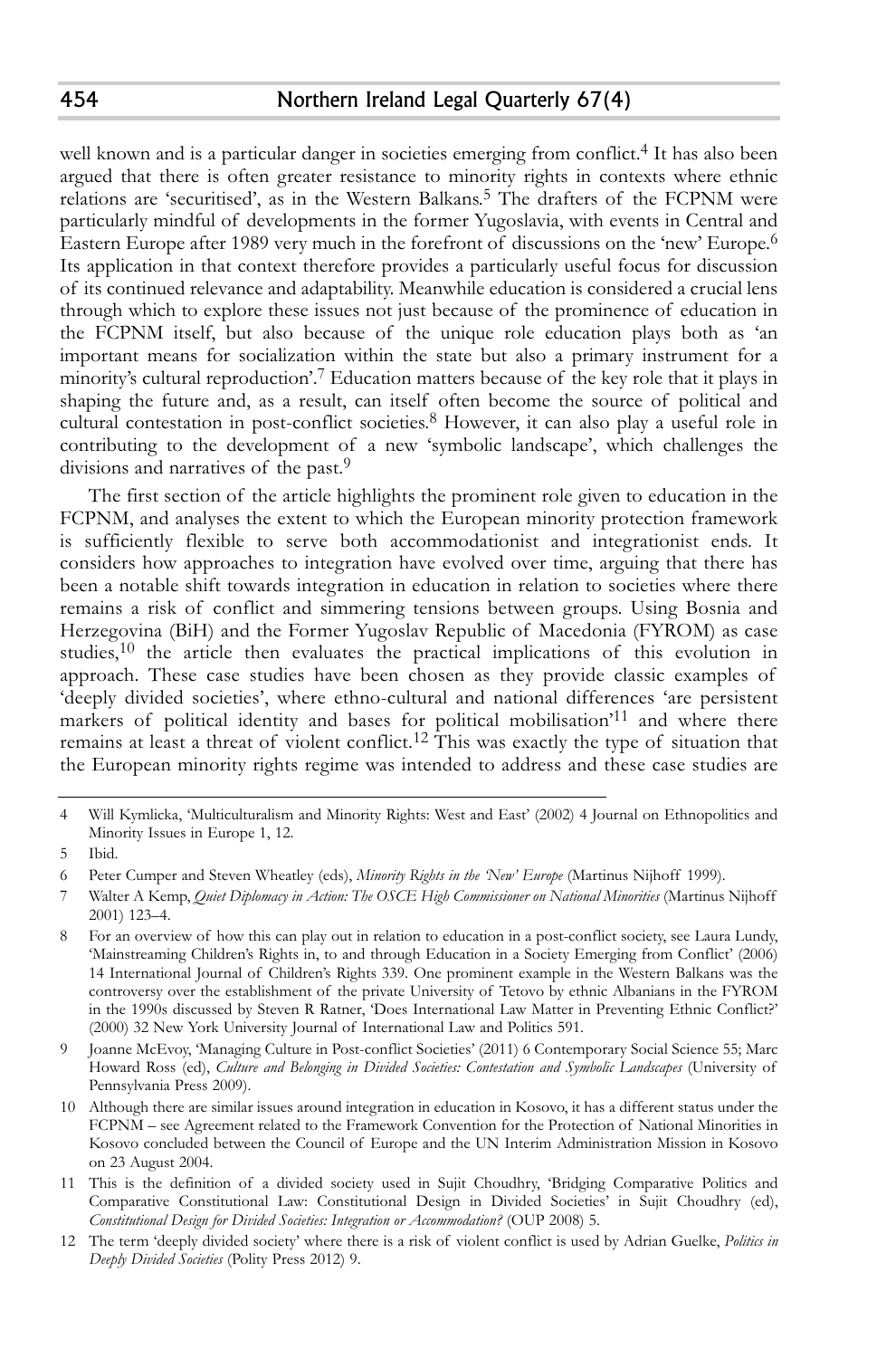well known and is a particular danger in societies emerging from conflict. 4 It has also been argued that there is often greater resistance to minority rights in contexts where ethnic relations are 'securitised', as in the Western Balkans. 5 The drafters of the FCPNM were particularly mindful of developments in the former Yugoslavia, with events in Central and Eastern Europe after 1989 very much in the forefront of discussions on the 'new' Europe. 6 Its application in that context therefore provides a particularly useful focus for discussion of its continued relevance and adaptability. Meanwhile education is considered a crucial lens through which to explore these issues not just because of the prominence of education in the FCPNM itself, but also because of the unique role education plays both as 'an important means for socialization within the state but also a primary instrument for a minority's cultural reproduction'. 7 Education matters because of the key role that it plays in shaping the future and, as a result, can itself often become the source of political and cultural contestation in post-conflict societies. 8 However, it can also play a useful role in contributing to the development of a new 'symbolic landscape', which challenges the divisions and narratives of the past. 9

The first section of the article highlights the prominent role given to education in the FCPNM, and analyses the extent to which the European minority protection framework is sufficiently flexible to serve both accommodationist and integrationist ends. It considers how approaches to integration have evolved over time, arguing that there has been a notable shift towards integration in education in relation to societies where there remains a risk of conflict and simmering tensions between groups. Using Bosnia and Herzegovina (BiH) and the Former Yugoslav Republic of Macedonia (FYROM) as case studies, $10$  the article then evaluates the practical implications of this evolution in approach. These case studies have been chosen as they provide classic examples of 'deeply divided societies', where ethno-cultural and national differences 'are persistent markers of political identity and bases for political mobilisation'<sup>11</sup> and where there remains at least a threat of violent conflict.<sup>12</sup> This was exactly the type of situation that the European minority rights regime was intended to address and these case studies are

<sup>4</sup> Will Kymlicka, 'Multiculturalism and Minority Rights: West and East' (2002) 4 Journal on Ethnopolitics and Minority Issues in Europe 1, 12.

<sup>5</sup> Ibid.

<sup>6</sup> Peter Cumper and Steven Wheatley (eds), *Minority Rights in the 'New' Europe* (Martinus Nijhoff 1999).

<sup>7</sup> Walter A Kemp, *Quiet Diplomacy in Action: The OSCE High Commissioner on National Minorities* (Martinus Nijhoff 2001) 123–4.

<sup>8</sup> For an overview of how this can play out in relation to education in a post-conflict society, see Laura Lundy, 'Mainstreaming Children's Rights in, to and through Education in a Society Emerging from Conflict' (2006) 14 International Journal of Children's Rights 339. One prominent example in the Western Balkans was the controversy over the establishment of the private University of Tetovo by ethnic Albanians in the FYROM in the 1990s discussed by Steven R Ratner, 'Does International Law Matter in Preventing Ethnic Conflict?' (2000) 32 New York University Journal of International Law and Politics 591.

<sup>9</sup> Joanne McEvoy, 'Managing Culture in Post-conflict Societies' (2011) 6 Contemporary Social Science 55; Marc Howard Ross (ed), *Culture and Belonging in Divided Societies: Contestation and Symbolic Landscapes* (University of Pennsylvania Press 2009).

<sup>10</sup> Although there are similar issues around integration in education in Kosovo, it has a different status under the FCPNM – see Agreement related to the Framework Convention for the Protection of National Minorities in Kosovo concluded between the Council of Europe and the UN Interim Administration Mission in Kosovo on 23 August 2004.

<sup>11</sup> This is the definition of a divided society used in Sujit Choudhry, 'Bridging Comparative Politics and Comparative Constitutional Law: Constitutional Design in Divided Societies' in Sujit Choudhry (ed), *Constitutional Design for Divided Societies: Integration or Accommodation?* (OUP 2008) 5.

<sup>12</sup> The term 'deeply divided society' where there is a risk of violent conflict is used by Adrian Guelke, *Politics in Deeply Divided Societies* (Polity Press 2012) 9.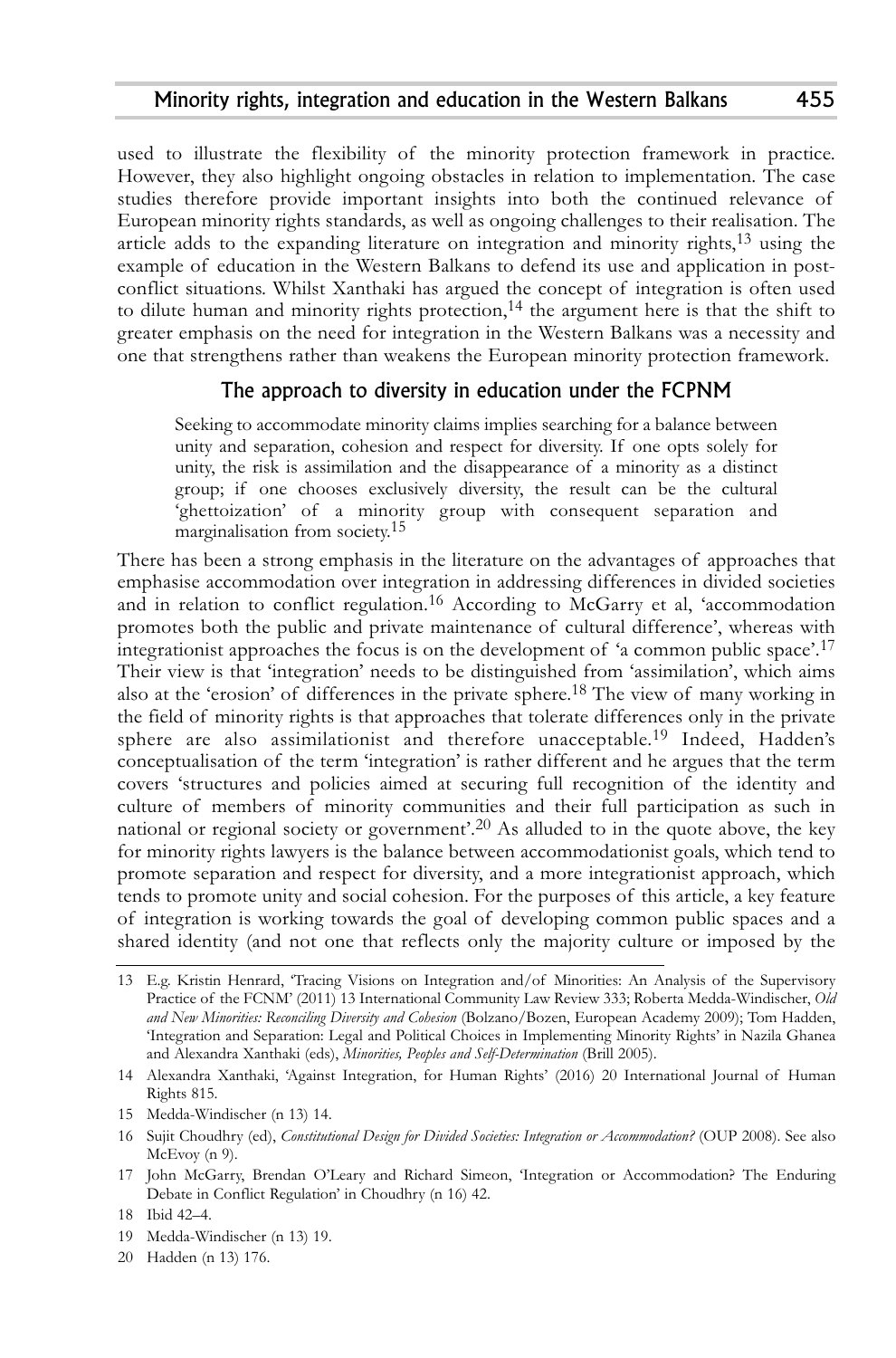used to illustrate the flexibility of the minority protection framework in practice. However, they also highlight ongoing obstacles in relation to implementation. The case studies therefore provide important insights into both the continued relevance of European minority rights standards, as well as ongoing challenges to their realisation. The article adds to the expanding literature on integration and minority rights,<sup>13</sup> using the example of education in the Western Balkans to defend its use and application in postconflict situations. Whilst Xanthaki has argued the concept of integration is often used to dilute human and minority rights protection, 14 the argument here is that the shift to greater emphasis on the need for integration in the Western Balkans was a necessity and one that strengthens rather than weakens the European minority protection framework.

## The approach to diversity in education under the FCPNM

Seeking to accommodate minority claims implies searching for a balance between unity and separation, cohesion and respect for diversity. If one opts solely for unity, the risk is assimilation and the disappearance of a minority as a distinct group; if one chooses exclusively diversity, the result can be the cultural 'ghettoization' of a minority group with consequent separation and marginalisation from society. 15

There has been a strong emphasis in the literature on the advantages of approaches that emphasise accommodation over integration in addressing differences in divided societies and in relation to conflict regulation.<sup>16</sup> According to McGarry et al, 'accommodation promotes both the public and private maintenance of cultural difference', whereas with integrationist approaches the focus is on the development of 'a common public space'. 17 Their view is that 'integration' needs to be distinguished from 'assimilation', which aims also at the 'erosion' of differences in the private sphere.<sup>18</sup> The view of many working in the field of minority rights is that approaches that tolerate differences only in the private sphere are also assimilationist and therefore unacceptable. 19 Indeed, Hadden's conceptualisation of the term 'integration' is rather different and he argues that the term covers 'structures and policies aimed at securing full recognition of the identity and culture of members of minority communities and their full participation as such in national or regional society or government'.<sup>20</sup> As alluded to in the quote above, the key for minority rights lawyers is the balance between accommodationist goals, which tend to promote separation and respect for diversity, and a more integrationist approach, which tends to promote unity and social cohesion. For the purposes of this article, a key feature of integration is working towards the goal of developing common public spaces and a shared identity (and not one that reflects only the majority culture or imposed by the

- 19 Medda-Windischer (n 13) 19.
- 20 Hadden (n 13) 176.

<sup>13</sup> E.g. Kristin Henrard, 'Tracing Visions on Integration and/of Minorities: An Analysis of the Supervisory Practice of the FCNM' (2011) 13 International Community Law Review 333; Roberta Medda-Windischer, *Old and New Minorities: Reconciling Diversity and Cohesion* (Bolzano/Bozen, European Academy 2009); Tom Hadden, 'Integration and Separation: Legal and Political Choices in Implementing Minority Rights' in Nazila Ghanea and Alexandra Xanthaki (eds), *Minorities, Peoples and Self-Determination* (Brill 2005).

<sup>14</sup> Alexandra Xanthaki, 'Against Integration, for Human Rights' (2016) 20 International Journal of Human Rights 815.

<sup>15</sup> Medda-Windischer (n 13) 14.

<sup>16</sup> Sujit Choudhry (ed), *Constitutional Design for Divided Societies: Integration or Accommodation?* (OUP 2008). See also McEvoy (n 9).

<sup>17</sup> John McGarry, Brendan O'Leary and Richard Simeon, 'Integration or Accommodation? The Enduring Debate in Conflict Regulation' in Choudhry (n 16) 42.

<sup>18</sup> Ibid 42–4.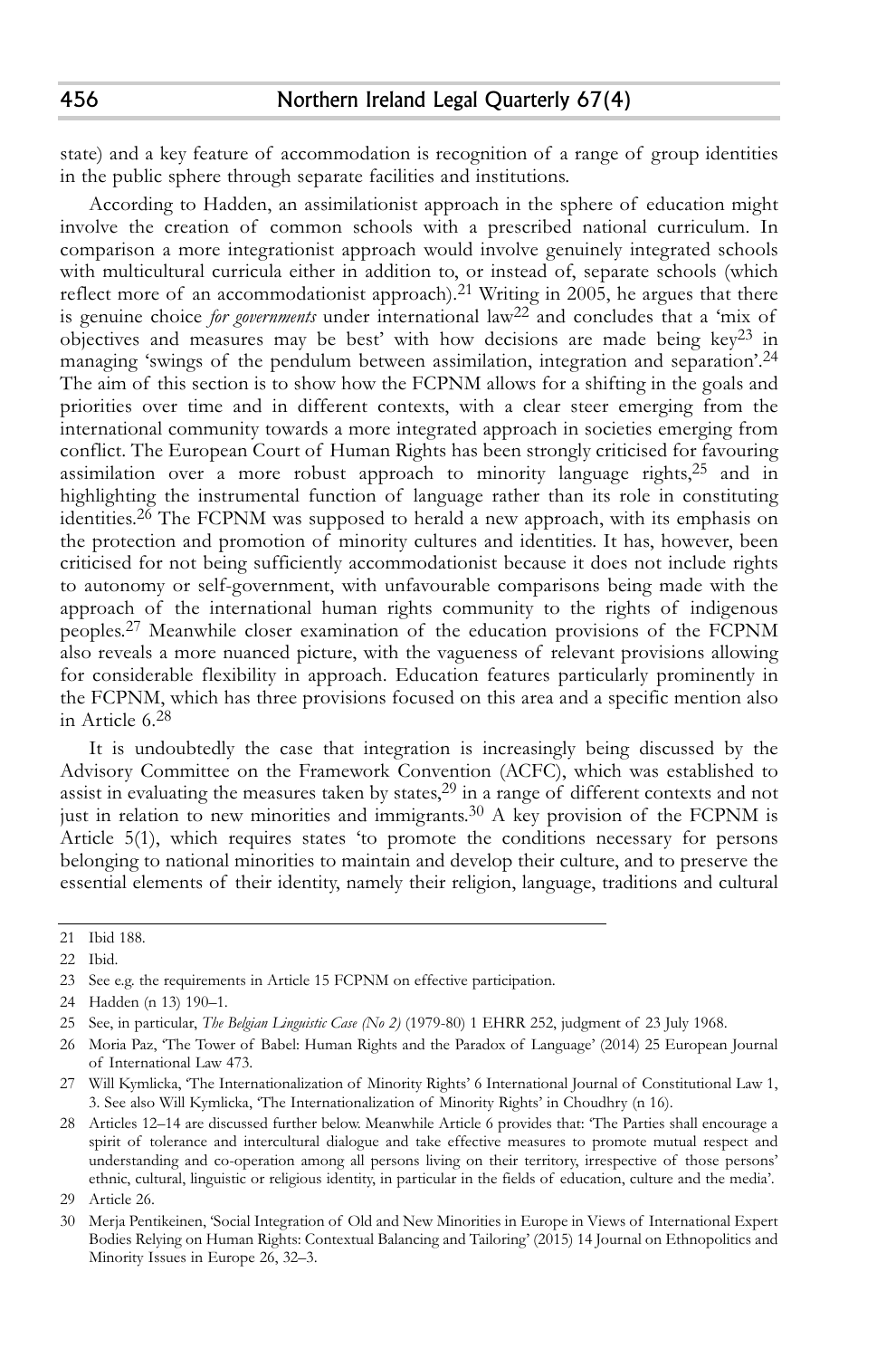state) and a key feature of accommodation is recognition of a range of group identities in the public sphere through separate facilities and institutions.

According to Hadden, an assimilationist approach in the sphere of education might involve the creation of common schools with a prescribed national curriculum. In comparison a more integrationist approach would involve genuinely integrated schools with multicultural curricula either in addition to, or instead of, separate schools (which reflect more of an accommodationist approach).<sup>21</sup> Writing in 2005, he argues that there is genuine choice *for governments* under international law22 and concludes that a 'mix of objectives and measures may be best' with how decisions are made being  $key^{23}$  in managing 'swings of the pendulum between assimilation, integration and separation'. 24 The aim of this section is to show how the FCPNM allows for a shifting in the goals and priorities over time and in different contexts, with a clear steer emerging from the international community towards a more integrated approach in societies emerging from conflict. The European Court of Human Rights has been strongly criticised for favouring assimilation over a more robust approach to minority language rights,<sup>25</sup> and in highlighting the instrumental function of language rather than its role in constituting identities. 26 The FCPNM was supposed to herald a new approach, with its emphasis on the protection and promotion of minority cultures and identities. It has, however, been criticised for not being sufficiently accommodationist because it does not include rights to autonomy or self-government, with unfavourable comparisons being made with the approach of the international human rights community to the rights of indigenous peoples.<sup>27</sup> Meanwhile closer examination of the education provisions of the FCPNM also reveals a more nuanced picture, with the vagueness of relevant provisions allowing for considerable flexibility in approach. Education features particularly prominently in the FCPNM, which has three provisions focused on this area and a specific mention also in Article 6. 28

It is undoubtedly the case that integration is increasingly being discussed by the Advisory Committee on the Framework Convention (ACFC), which was established to assist in evaluating the measures taken by states, $^{29}$  in a range of different contexts and not just in relation to new minorities and immigrants. 30 A key provision of the FCPNM is Article 5(1), which requires states 'to promote the conditions necessary for persons belonging to national minorities to maintain and develop their culture, and to preserve the essential elements of their identity, namely their religion, language, traditions and cultural

<sup>21</sup> Ibid 188.

<sup>22</sup> Ibid.

<sup>23</sup> See e.g. the requirements in Article 15 FCPNM on effective participation.

<sup>24</sup> Hadden (n 13) 190–1.

<sup>25</sup> See, in particular, *The Belgian Linguistic Case (No 2)* (1979-80) 1 EHRR 252, judgment of 23 July 1968.

<sup>26</sup> Moria Paz, 'The Tower of Babel: Human Rights and the Paradox of Language' (2014) 25 European Journal of International Law 473.

<sup>27</sup> Will Kymlicka, 'The Internationalization of Minority Rights' 6 International Journal of Constitutional Law 1, 3. See also Will Kymlicka, 'The Internationalization of Minority Rights' in Choudhry (n 16).

<sup>28</sup> Articles 12–14 are discussed further below. Meanwhile Article 6 provides that: 'The Parties shall encourage a spirit of tolerance and intercultural dialogue and take effective measures to promote mutual respect and understanding and co-operation among all persons living on their territory, irrespective of those persons' ethnic, cultural, linguistic or religious identity, in particular in the fields of education, culture and the media'.

<sup>29</sup> Article 26.

<sup>30</sup> Merja Pentikeinen, 'Social Integration of Old and New Minorities in Europe in Views of International Expert Bodies Relying on Human Rights: Contextual Balancing and Tailoring' (2015) 14 Journal on Ethnopolitics and Minority Issues in Europe 26, 32–3.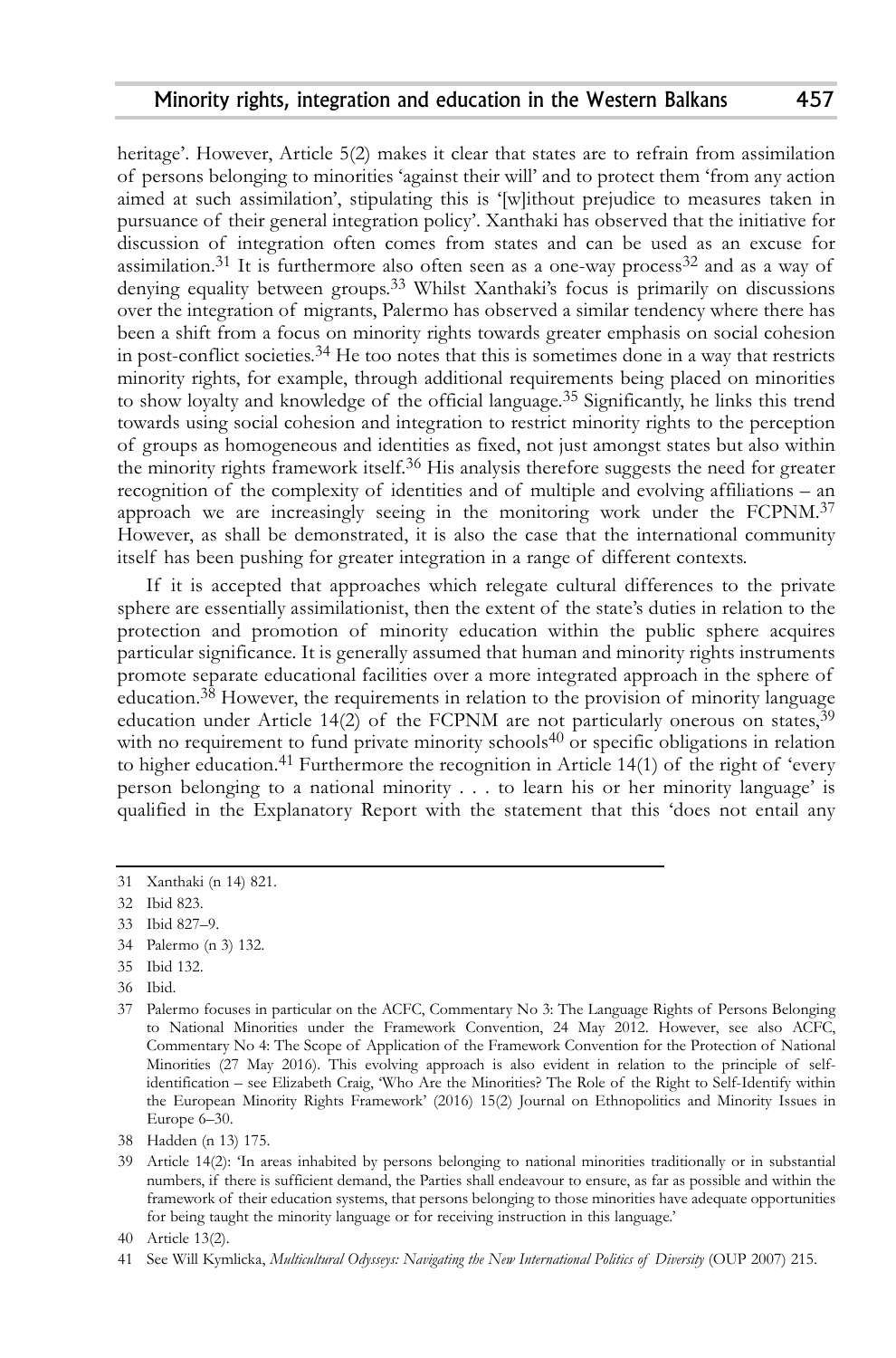heritage'. However, Article 5(2) makes it clear that states are to refrain from assimilation of persons belonging to minorities 'against their will' and to protect them 'from any action aimed at such assimilation', stipulating this is '[w]ithout prejudice to measures taken in pursuance of their general integration policy'. Xanthaki has observed that the initiative for discussion of integration often comes from states and can be used as an excuse for assimilation.<sup>31</sup> It is furthermore also often seen as a one-way process<sup>32</sup> and as a way of denying equality between groups. 33 Whilst Xanthaki's focus is primarily on discussions over the integration of migrants, Palermo has observed a similar tendency where there has been a shift from a focus on minority rights towards greater emphasis on social cohesion in post-conflict societies.<sup>34</sup> He too notes that this is sometimes done in a way that restricts minority rights, for example, through additional requirements being placed on minorities to show loyalty and knowledge of the official language. 35 Significantly, he links this trend towards using social cohesion and integration to restrict minority rights to the perception of groups as homogeneous and identities as fixed, not just amongst states but also within the minority rights framework itself.<sup>36</sup> His analysis therefore suggests the need for greater recognition of the complexity of identities and of multiple and evolving affiliations – an approach we are increasingly seeing in the monitoring work under the FCPNM.<sup>37</sup> However, as shall be demonstrated, it is also the case that the international community itself has been pushing for greater integration in a range of different contexts.

If it is accepted that approaches which relegate cultural differences to the private sphere are essentially assimilationist, then the extent of the state's duties in relation to the protection and promotion of minority education within the public sphere acquires particular significance. It is generally assumed that human and minority rights instruments promote separate educational facilities over a more integrated approach in the sphere of education. $^{38}$  However, the requirements in relation to the provision of minority language education under Article 14(2) of the FCPNM are not particularly onerous on states,<sup>39</sup> with no requirement to fund private minority schools<sup>40</sup> or specific obligations in relation to higher education. 41 Furthermore the recognition in Article 14(1) of the right of 'every person belonging to a national minority . . . to learn his or her minority language' is qualified in the Explanatory Report with the statement that this 'does not entail any

34 Palermo (n 3) 132.

36 Ibid.

<sup>31</sup> Xanthaki (n 14) 821.

<sup>32</sup> Ibid 823.

<sup>33</sup> Ibid 827–9.

<sup>35</sup> Ibid 132.

<sup>37</sup> Palermo focuses in particular on the ACFC, Commentary No 3: The Language Rights of Persons Belonging to National Minorities under the Framework Convention, 24 May 2012. However, see also ACFC, Commentary No 4: The Scope of Application of the Framework Convention for the Protection of National Minorities (27 May 2016). This evolving approach is also evident in relation to the principle of selfidentification – see Elizabeth Craig, 'Who Are the Minorities? The Role of the Right to Self-Identify within the European Minority Rights Framework' (2016) 15(2) Journal on Ethnopolitics and Minority Issues in Europe 6–30.

<sup>38</sup> Hadden (n 13) 175.

<sup>39</sup> Article 14(2): 'In areas inhabited by persons belonging to national minorities traditionally or in substantial numbers, if there is sufficient demand, the Parties shall endeavour to ensure, as far as possible and within the framework of their education systems, that persons belonging to those minorities have adequate opportunities for being taught the minority language or for receiving instruction in this language.'

<sup>40</sup> Article 13(2).

<sup>41</sup> See Will Kymlicka, *Multicultural Odysseys: Navigating the New International Politics of Diversity* (OUP 2007) 215.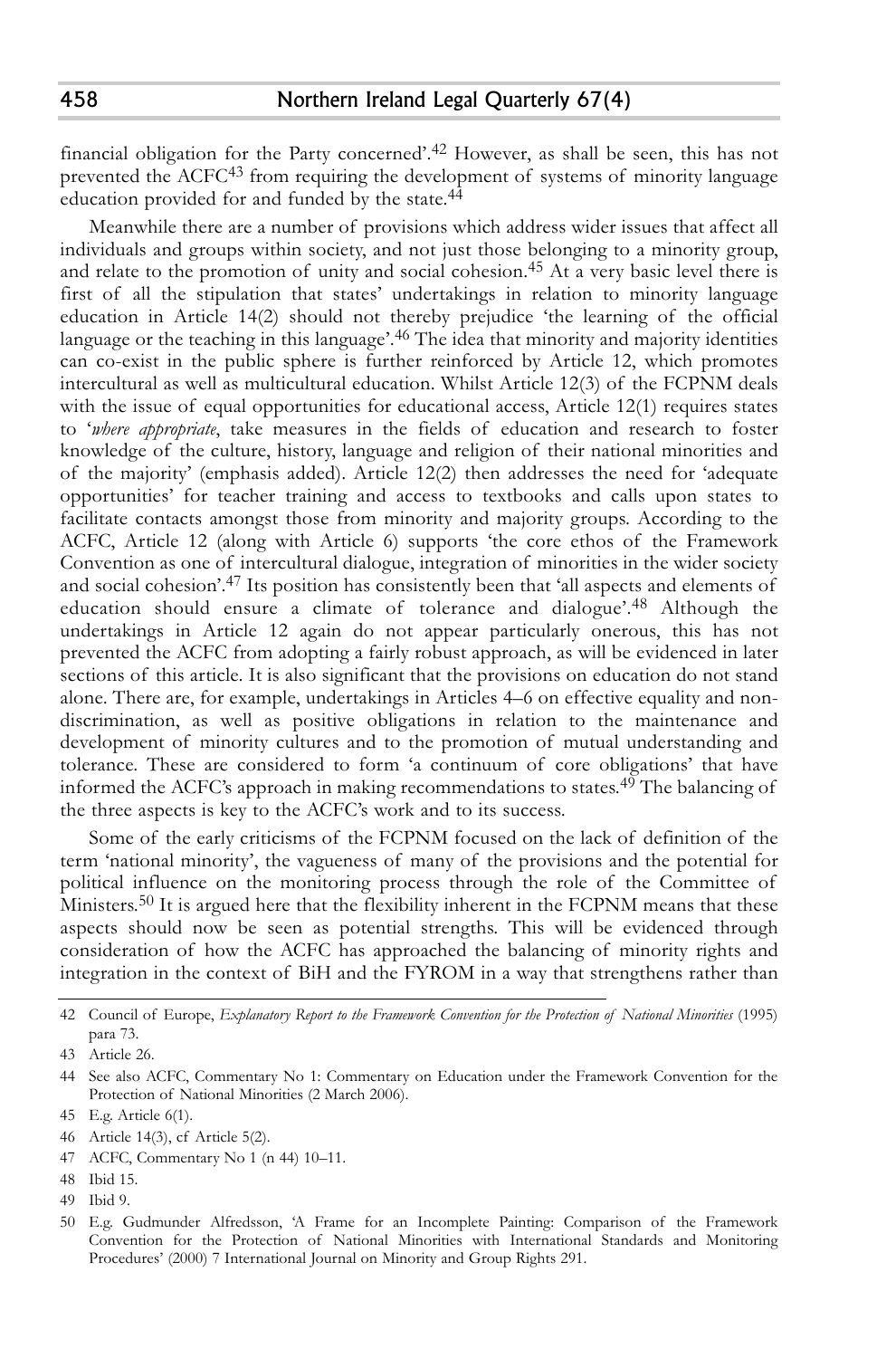financial obligation for the Party concerned'. 42 However, as shall be seen, this has not prevented the ACFC43 from requiring the development of systems of minority language education provided for and funded by the state.<sup>44</sup>

Meanwhile there are a number of provisions which address wider issues that affect all individuals and groups within society, and not just those belonging to a minority group, and relate to the promotion of unity and social cohesion. 45 At a very basic level there is first of all the stipulation that states' undertakings in relation to minority language education in Article 14(2) should not thereby prejudice 'the learning of the official language or the teaching in this language'. 46 The idea that minority and majority identities can co-exist in the public sphere is further reinforced by Article 12, which promotes intercultural as well as multicultural education. Whilst Article 12(3) of the FCPNM deals with the issue of equal opportunities for educational access, Article 12(1) requires states to '*where appropriate*, take measures in the fields of education and research to foster knowledge of the culture, history, language and religion of their national minorities and of the majority' (emphasis added). Article 12(2) then addresses the need for 'adequate opportunities' for teacher training and access to textbooks and calls upon states to facilitate contacts amongst those from minority and majority groups. According to the ACFC, Article 12 (along with Article 6) supports 'the core ethos of the Framework Convention as one of intercultural dialogue, integration of minorities in the wider society and social cohesion'. 47 Its position has consistently been that 'all aspects and elements of education should ensure a climate of tolerance and dialogue'. 48 Although the undertakings in Article 12 again do not appear particularly onerous, this has not prevented the ACFC from adopting a fairly robust approach, as will be evidenced in later sections of this article. It is also significant that the provisions on education do not stand alone. There are, for example, undertakings in Articles 4–6 on effective equality and nondiscrimination, as well as positive obligations in relation to the maintenance and development of minority cultures and to the promotion of mutual understanding and tolerance. These are considered to form 'a continuum of core obligations' that have informed the ACFC's approach in making recommendations to states.<sup>49</sup> The balancing of the three aspects is key to the ACFC's work and to its success.

Some of the early criticisms of the FCPNM focused on the lack of definition of the term 'national minority', the vagueness of many of the provisions and the potential for political influence on the monitoring process through the role of the Committee of Ministers.<sup>50</sup> It is argued here that the flexibility inherent in the FCPNM means that these aspects should now be seen as potential strengths. This will be evidenced through consideration of how the ACFC has approached the balancing of minority rights and integration in the context of BiH and the FYROM in a way that strengthens rather than

- 47 ACFC, Commentary No 1 (n 44) 10–11.
- 48 Ibid 15.
- 49 Ibid 9.

<sup>42</sup> Council of Europe, *Explanatory Report to the Framework Convention for the Protection of National Minorities* (1995) para 73.

<sup>43</sup> Article 26.

<sup>44</sup> See also ACFC, Commentary No 1: Commentary on Education under the Framework Convention for the Protection of National Minorities (2 March 2006).

<sup>45</sup> E.g. Article 6(1).

<sup>46</sup> Article 14(3), cf Article 5(2).

<sup>50</sup> E.g. Gudmunder Alfredsson, 'A Frame for an Incomplete Painting: Comparison of the Framework Convention for the Protection of National Minorities with International Standards and Monitoring Procedures' (2000) 7 International Journal on Minority and Group Rights 291.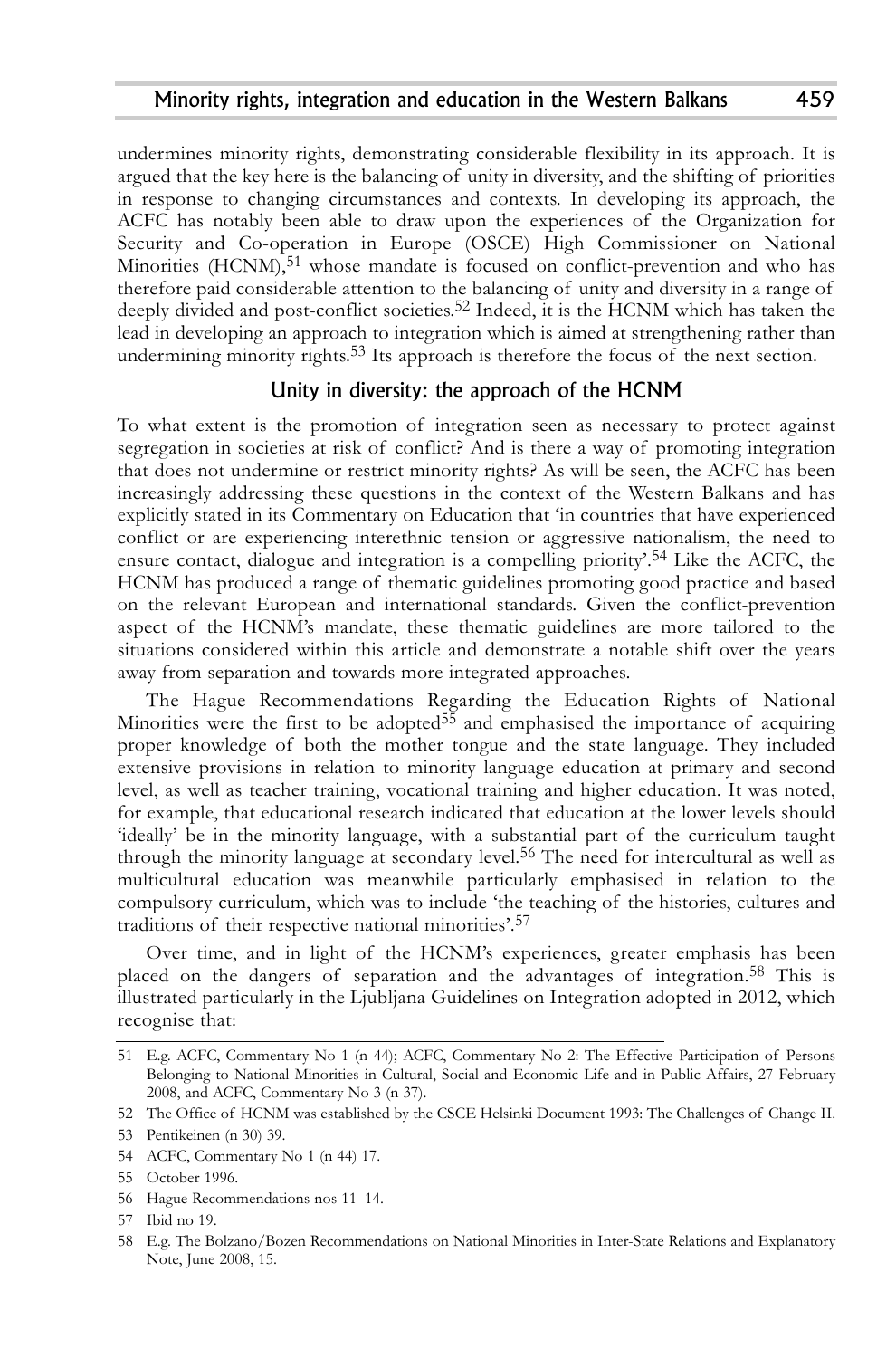undermines minority rights, demonstrating considerable flexibility in its approach. It is argued that the key here is the balancing of unity in diversity, and the shifting of priorities in response to changing circumstances and contexts. In developing its approach, the ACFC has notably been able to draw upon the experiences of the Organization for Security and Co-operation in Europe (OSCE) High Commissioner on National Minorities (HCNM), 51 whose mandate is focused on conflict-prevention and who has therefore paid considerable attention to the balancing of unity and diversity in a range of deeply divided and post-conflict societies. 52 Indeed, it is the HCNM which has taken the lead in developing an approach to integration which is aimed at strengthening rather than undermining minority rights. 53 Its approach is therefore the focus of the next section.

## Unity in diversity: the approach of the HCNM

To what extent is the promotion of integration seen as necessary to protect against segregation in societies at risk of conflict? And is there a way of promoting integration that does not undermine or restrict minority rights? As will be seen, the ACFC has been increasingly addressing these questions in the context of the Western Balkans and has explicitly stated in its Commentary on Education that 'in countries that have experienced conflict or are experiencing interethnic tension or aggressive nationalism, the need to ensure contact, dialogue and integration is a compelling priority'. 54 Like the ACFC, the HCNM has produced a range of thematic guidelines promoting good practice and based on the relevant European and international standards. Given the conflict-prevention aspect of the HCNM's mandate, these thematic guidelines are more tailored to the situations considered within this article and demonstrate a notable shift over the years away from separation and towards more integrated approaches.

The Hague Recommendations Regarding the Education Rights of National Minorities were the first to be adopted<sup>55</sup> and emphasised the importance of acquiring proper knowledge of both the mother tongue and the state language. They included extensive provisions in relation to minority language education at primary and second level, as well as teacher training, vocational training and higher education. It was noted, for example, that educational research indicated that education at the lower levels should 'ideally' be in the minority language, with a substantial part of the curriculum taught through the minority language at secondary level. 56 The need for intercultural as well as multicultural education was meanwhile particularly emphasised in relation to the compulsory curriculum, which was to include 'the teaching of the histories, cultures and traditions of their respective national minorities'. 57

Over time, and in light of the HCNM's experiences, greater emphasis has been placed on the dangers of separation and the advantages of integration. 58 This is illustrated particularly in the Ljubljana Guidelines on Integration adopted in 2012, which recognise that:

56 Hague Recommendations nos 11–14.

<sup>51</sup> E.g. ACFC, Commentary No 1 (n 44); ACFC, Commentary No 2: The Effective Participation of Persons Belonging to National Minorities in Cultural, Social and Economic Life and in Public Affairs, 27 February 2008, and ACFC, Commentary No 3 (n 37).

<sup>52</sup> The Office of HCNM was established by the CSCE Helsinki Document 1993: The Challenges of Change II.

<sup>53</sup> Pentikeinen (n 30) 39.

<sup>54</sup> ACFC, Commentary No 1 (n 44) 17.

<sup>55</sup> October 1996.

<sup>57</sup> Ibid no 19.

<sup>58</sup> E.g. The Bolzano/Bozen Recommendations on National Minorities in Inter-State Relations and Explanatory Note, June 2008, 15.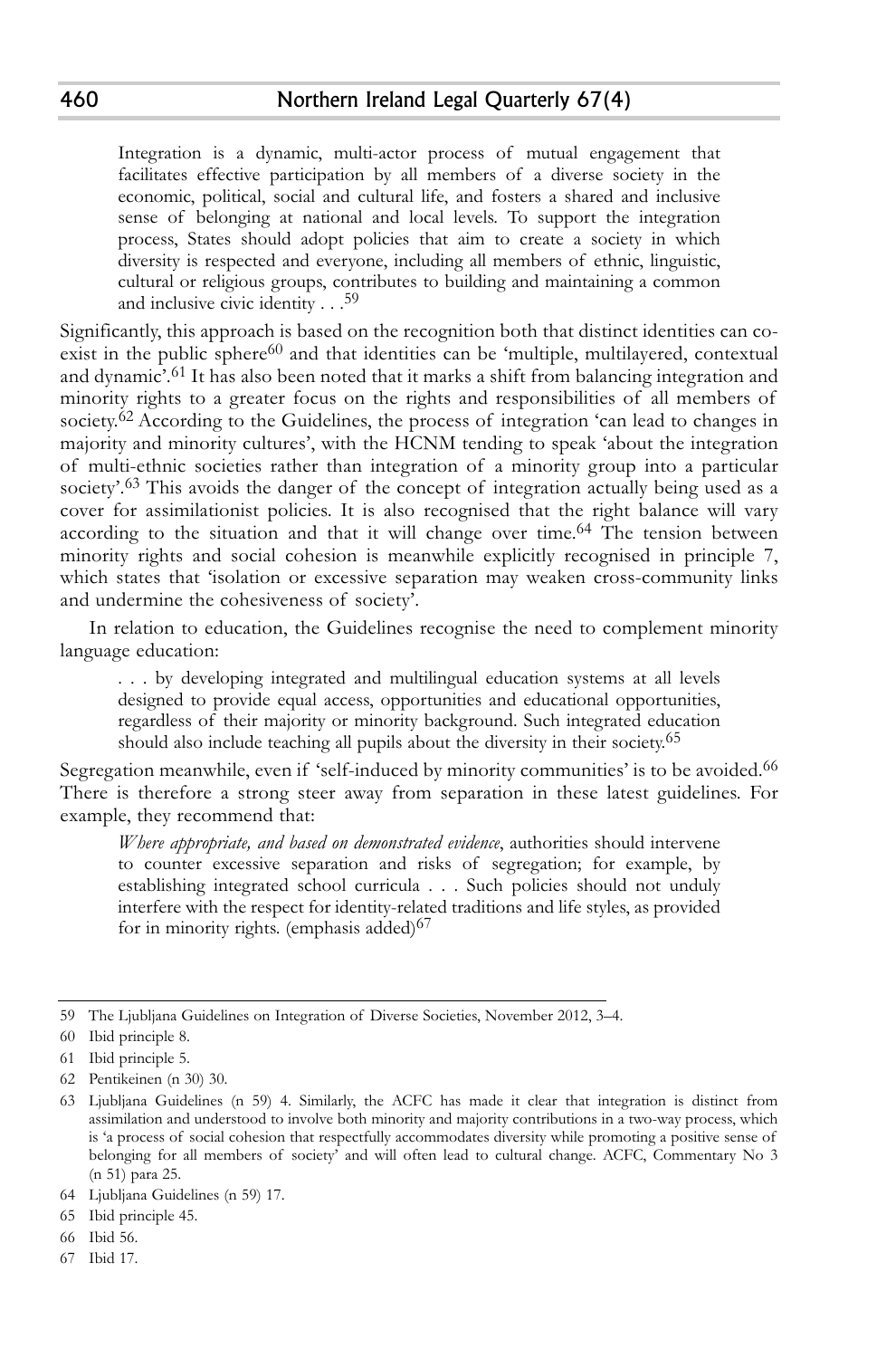Integration is a dynamic, multi-actor process of mutual engagement that facilitates effective participation by all members of a diverse society in the economic, political, social and cultural life, and fosters a shared and inclusive sense of belonging at national and local levels. To support the integration process, States should adopt policies that aim to create a society in which diversity is respected and everyone, including all members of ethnic, linguistic, cultural or religious groups, contributes to building and maintaining a common and inclusive civic identity . . . 59

Significantly, this approach is based on the recognition both that distinct identities can coexist in the public sphere<sup>60</sup> and that identities can be 'multiple, multilayered, contextual and dynamic'. 61 It has also been noted that it marks a shift from balancing integration and minority rights to a greater focus on the rights and responsibilities of all members of society.<sup>62</sup> According to the Guidelines, the process of integration 'can lead to changes in majority and minority cultures', with the HCNM tending to speak 'about the integration of multi-ethnic societies rather than integration of a minority group into a particular society'.<sup>63</sup> This avoids the danger of the concept of integration actually being used as a cover for assimilationist policies. It is also recognised that the right balance will vary according to the situation and that it will change over time. 64 The tension between minority rights and social cohesion is meanwhile explicitly recognised in principle 7, which states that 'isolation or excessive separation may weaken cross-community links and undermine the cohesiveness of society'.

In relation to education, the Guidelines recognise the need to complement minority language education:

. . . by developing integrated and multilingual education systems at all levels designed to provide equal access, opportunities and educational opportunities, regardless of their majority or minority background. Such integrated education should also include teaching all pupils about the diversity in their society. 65

Segregation meanwhile, even if 'self-induced by minority communities' is to be avoided.<sup>66</sup> There is therefore a strong steer away from separation in these latest guidelines. For example, they recommend that:

*Where appropriate, and based on demonstrated evidence*, authorities should intervene to counter excessive separation and risks of segregation; for example, by establishing integrated school curricula . . . Such policies should not unduly interfere with the respect for identity-related traditions and life styles, as provided for in minority rights. (emphasis added) $67$ 

67 Ibid 17.

<sup>59</sup> The Ljubljana Guidelines on Integration of Diverse Societies, November 2012, 3–4.

<sup>60</sup> Ibid principle 8.

<sup>61</sup> Ibid principle 5.

<sup>62</sup> Pentikeinen (n 30) 30.

<sup>63</sup> Ljubljana Guidelines (n 59) 4. Similarly, the ACFC has made it clear that integration is distinct from assimilation and understood to involve both minority and majority contributions in a two-way process, which is 'a process of social cohesion that respectfully accommodates diversity while promoting a positive sense of belonging for all members of society' and will often lead to cultural change. ACFC, Commentary No 3 (n 51) para 25.

<sup>64</sup> Ljubljana Guidelines (n 59) 17.

<sup>65</sup> Ibid principle 45.

<sup>66</sup> Ibid 56.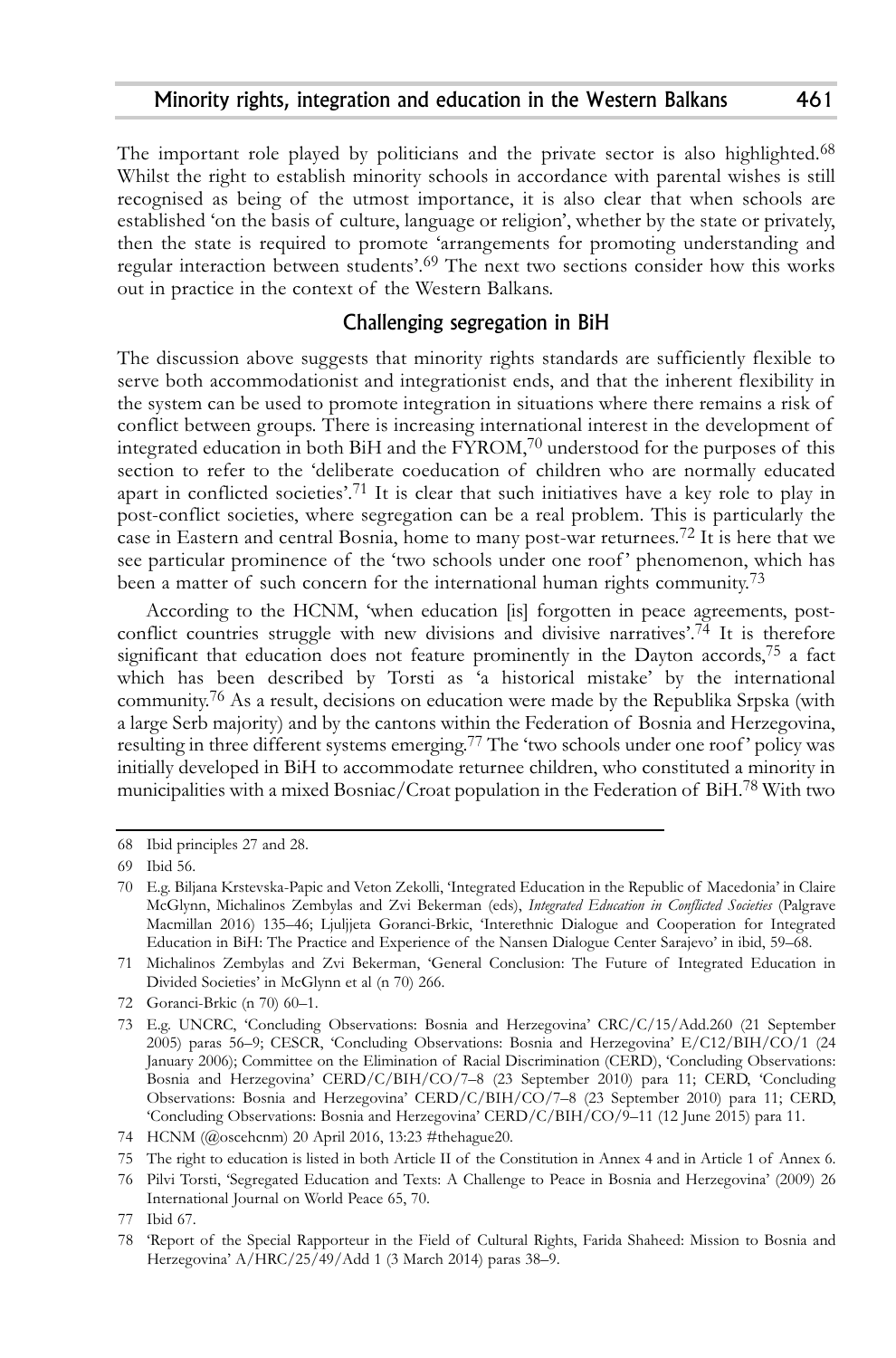The important role played by politicians and the private sector is also highlighted.<sup>68</sup> Whilst the right to establish minority schools in accordance with parental wishes is still recognised as being of the utmost importance, it is also clear that when schools are established 'on the basis of culture, language or religion', whether by the state or privately, then the state is required to promote 'arrangements for promoting understanding and regular interaction between students'. 69 The next two sections consider how this works out in practice in the context of the Western Balkans.

# Challenging segregation in BiH

The discussion above suggests that minority rights standards are sufficiently flexible to serve both accommodationist and integrationist ends, and that the inherent flexibility in the system can be used to promote integration in situations where there remains a risk of conflict between groups. There is increasing international interest in the development of integrated education in both BiH and the FYROM, $^{70}$  understood for the purposes of this section to refer to the 'deliberate coeducation of children who are normally educated apart in conflicted societies'.<sup>71</sup> It is clear that such initiatives have a key role to play in post-conflict societies, where segregation can be a real problem. This is particularly the case in Eastern and central Bosnia, home to many post-war returnees. 72 It is here that we see particular prominence of the 'two schools under one roof' phenomenon, which has been a matter of such concern for the international human rights community.<sup>73</sup>

According to the HCNM, 'when education [is] forgotten in peace agreements, postconflict countries struggle with new divisions and divisive narratives'. 74 It is therefore significant that education does not feature prominently in the Dayton accords, 75 a fact which has been described by Torsti as 'a historical mistake' by the international community. 76 As a result, decisions on education were made by the Republika Srpska (with a large Serb majority) and by the cantons within the Federation of Bosnia and Herzegovina, resulting in three different systems emerging. 77 The 'two schools under one roof' policy was initially developed in BiH to accommodate returnee children, who constituted a minority in municipalities with a mixed Bosniac/Croat population in the Federation of BiH. 78 With two

72 Goranci-Brkic (n 70) 60–1.

<sup>68</sup> Ibid principles 27 and 28.

<sup>69</sup> Ibid 56.

<sup>70</sup> E.g. Biljana Krstevska-Papic and Veton Zekolli, 'Integrated Education in the Republic of Macedonia' in Claire McGlynn, Michalinos Zembylas and Zvi Bekerman (eds), *Integrated Education in Conflicted Societies* (Palgrave Macmillan 2016) 135–46; Ljuljjeta Goranci-Brkic, 'Interethnic Dialogue and Cooperation for Integrated Education in BiH: The Practice and Experience of the Nansen Dialogue Center Sarajevo' in ibid, 59–68.

<sup>71</sup> Michalinos Zembylas and Zvi Bekerman, 'General Conclusion: The Future of Integrated Education in Divided Societies' in McGlynn et al (n 70) 266.

<sup>73</sup> E.g. UNCRC, 'Concluding Observations: Bosnia and Herzegovina' CRC/C/15/Add.260 (21 September 2005) paras 56–9; CESCR, 'Concluding Observations: Bosnia and Herzegovina' E/C12/BIH/CO/1 (24 January 2006); Committee on the Elimination of Racial Discrimination (CERD), 'Concluding Observations: Bosnia and Herzegovina' CERD/C/BIH/CO/7–8 (23 September 2010) para 11; CERD, 'Concluding Observations: Bosnia and Herzegovina' CERD/C/BIH/CO/7–8 (23 September 2010) para 11; CERD, 'Concluding Observations: Bosnia and Herzegovina' CERD/C/BIH/CO/9–11 (12 June 2015) para 11.

<sup>74</sup> HCNM (@oscehcnm) 20 April 2016, 13:23 #thehague20.

<sup>75</sup> The right to education is listed in both Article II of the Constitution in Annex 4 and in Article 1 of Annex 6.

<sup>76</sup> Pilvi Torsti, 'Segregated Education and Texts: A Challenge to Peace in Bosnia and Herzegovina' (2009) 26 International Journal on World Peace 65, 70.

<sup>77</sup> Ibid 67.

<sup>78 &#</sup>x27;Report of the Special Rapporteur in the Field of Cultural Rights, Farida Shaheed: Mission to Bosnia and Herzegovina' A/HRC/25/49/Add 1 (3 March 2014) paras 38–9.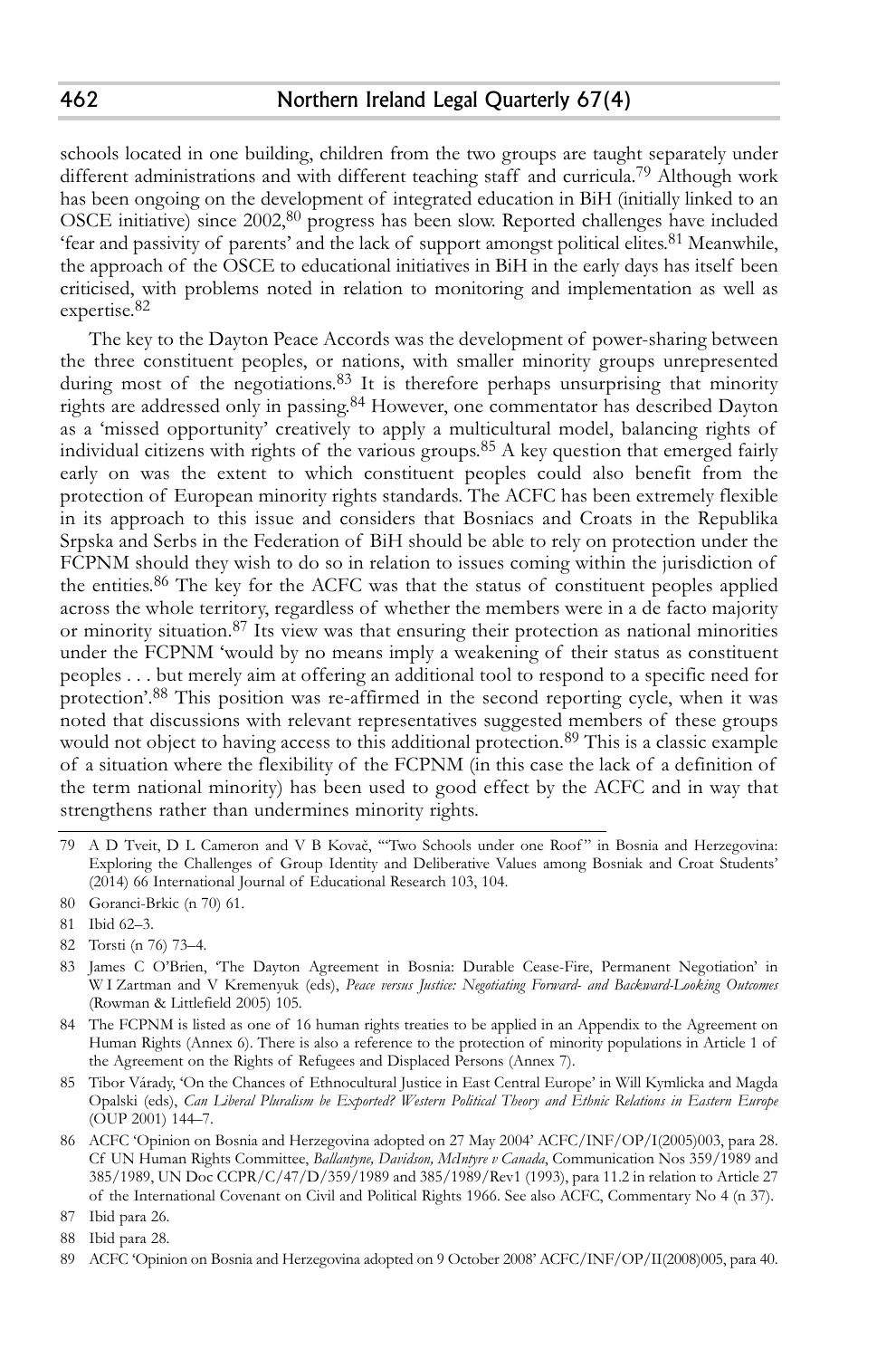schools located in one building, children from the two groups are taught separately under different administrations and with different teaching staff and curricula. 79 Although work has been ongoing on the development of integrated education in BiH (initially linked to an OSCE initiative) since 2002, 80 progress has been slow. Reported challenges have included 'fear and passivity of parents' and the lack of support amongst political elites.<sup>81</sup> Meanwhile, the approach of the OSCE to educational initiatives in BiH in the early days has itself been criticised, with problems noted in relation to monitoring and implementation as well as expertise. 82

The key to the Dayton Peace Accords was the development of power-sharing between the three constituent peoples, or nations, with smaller minority groups unrepresented during most of the negotiations.<sup>83</sup> It is therefore perhaps unsurprising that minority rights are addressed only in passing. 84 However, one commentator has described Dayton as a 'missed opportunity' creatively to apply a multicultural model, balancing rights of individual citizens with rights of the various groups. 85 A key question that emerged fairly early on was the extent to which constituent peoples could also benefit from the protection of European minority rights standards. The ACFC has been extremely flexible in its approach to this issue and considers that Bosniacs and Croats in the Republika Srpska and Serbs in the Federation of BiH should be able to rely on protection under the FCPNM should they wish to do so in relation to issues coming within the jurisdiction of the entities. 86 The key for the ACFC was that the status of constituent peoples applied across the whole territory, regardless of whether the members were in a de facto majority or minority situation.<sup>87</sup> Its view was that ensuring their protection as national minorities under the FCPNM 'would by no means imply a weakening of their status as constituent peoples . . . but merely aim at offering an additional tool to respond to a specific need for protection'.<sup>88</sup> This position was re-affirmed in the second reporting cycle, when it was noted that discussions with relevant representatives suggested members of these groups would not object to having access to this additional protection. 89 This is a classic example of a situation where the flexibility of the FCPNM (in this case the lack of a definition of the term national minority) has been used to good effect by the ACFC and in way that strengthens rather than undermines minority rights.

<sup>79</sup> A D Tveit, D L Cameron and V B Kovač, '"Two Schools under one Roof " in Bosnia and Herzegovina: Exploring the Challenges of Group Identity and Deliberative Values among Bosniak and Croat Students' (2014) 66 International Journal of Educational Research 103, 104.

<sup>80</sup> Goranci-Brkic (n 70) 61.

<sup>81</sup> Ibid 62–3.

<sup>82</sup> Torsti (n 76) 73–4.

<sup>83</sup> James C O'Brien, 'The Dayton Agreement in Bosnia: Durable Cease-Fire, Permanent Negotiation' in W I Zartman and V Kremenyuk (eds), *Peace versus Justice: Negotiating Forward- and Backward-Looking Outcomes* (Rowman & Littlefield 2005) 105.

<sup>84</sup> The FCPNM is listed as one of 16 human rights treaties to be applied in an Appendix to the Agreement on Human Rights (Annex 6). There is also a reference to the protection of minority populations in Article 1 of the Agreement on the Rights of Refugees and Displaced Persons (Annex 7).

<sup>85</sup> Tibor Várady, 'On the Chances of Ethnocultural Justice in East Central Europe' in Will Kymlicka and Magda Opalski (eds), *Can Liberal Pluralism be Exported? Western Political Theory and Ethnic Relations in Eastern Europe* (OUP 2001) 144–7.

<sup>86</sup> ACFC 'Opinion on Bosnia and Herzegovina adopted on 27 May 2004' ACFC/INF/OP/I(2005)003, para 28. Cf UN Human Rights Committee, *Ballantyne, Davidson, McIntyre v Canada*, Communication Nos 359/1989 and 385/1989, UN Doc CCPR/C/47/D/359/1989 and 385/1989/Rev1 (1993), para 11.2 in relation to Article 27 of the International Covenant on Civil and Political Rights 1966. See also ACFC, Commentary No 4 (n 37).

<sup>87</sup> Ibid para 26.

<sup>88</sup> Ibid para 28.

<sup>89</sup> ACFC 'Opinion on Bosnia and Herzegovina adopted on 9 October 2008' ACFC/INF/OP/II(2008)005, para 40.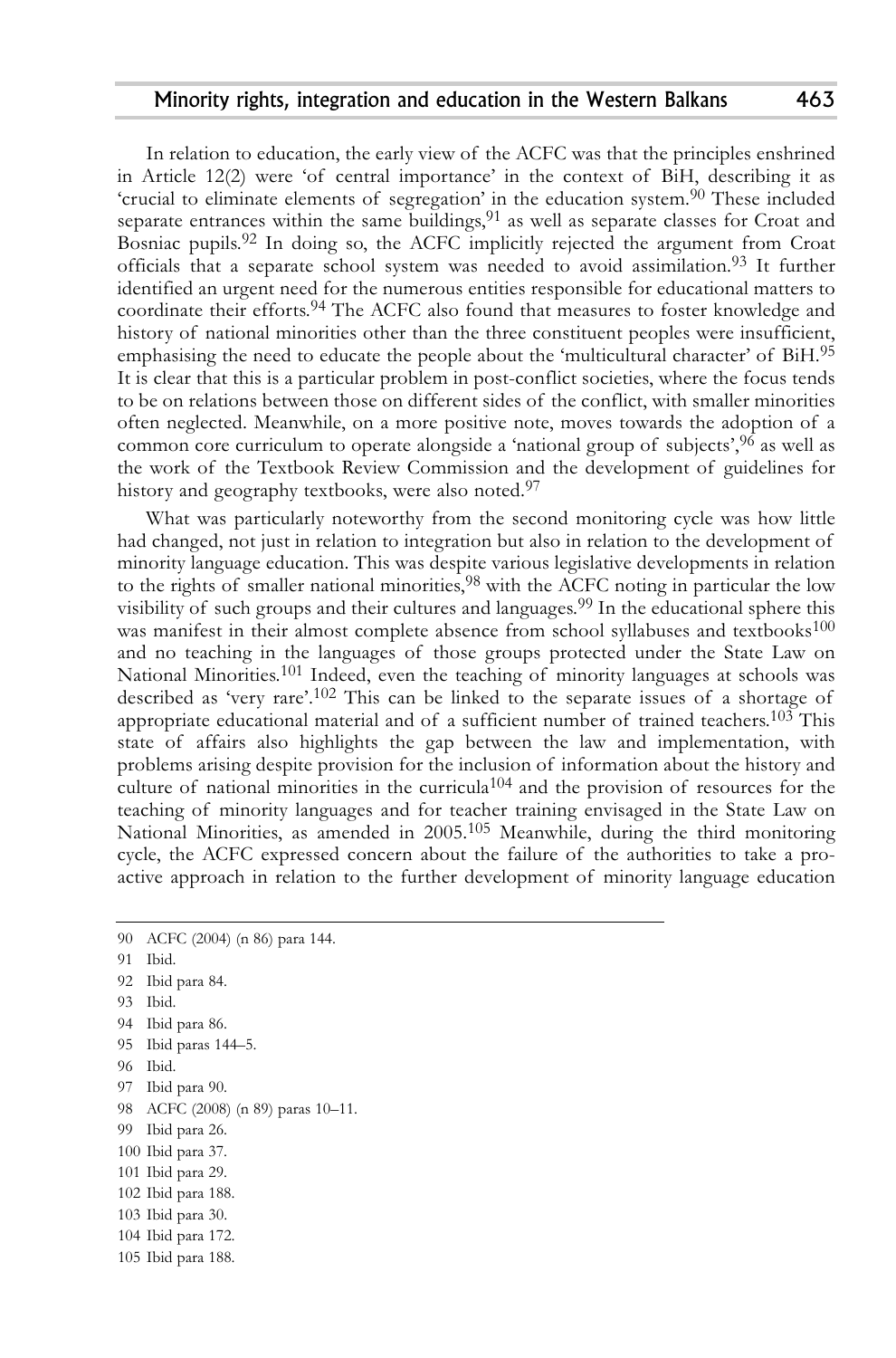In relation to education, the early view of the ACFC was that the principles enshrined in Article 12(2) were 'of central importance' in the context of BiH, describing it as 'crucial to eliminate elements of segregation' in the education system. 90 These included separate entrances within the same buildings, $^{91}$  as well as separate classes for Croat and Bosniac pupils.<sup>92</sup> In doing so, the ACFC implicitly rejected the argument from Croat officials that a separate school system was needed to avoid assimilation. 93 It further identified an urgent need for the numerous entities responsible for educational matters to coordinate their efforts. 94 The ACFC also found that measures to foster knowledge and history of national minorities other than the three constituent peoples were insufficient, emphasising the need to educate the people about the 'multicultural character' of BiH. 95 It is clear that this is a particular problem in post-conflict societies, where the focus tends to be on relations between those on different sides of the conflict, with smaller minorities often neglected. Meanwhile, on a more positive note, moves towards the adoption of a common core curriculum to operate alongside a 'national group of subjects', 96 as well as the work of the Textbook Review Commission and the development of guidelines for history and geography textbooks, were also noted. 97

What was particularly noteworthy from the second monitoring cycle was how little had changed, not just in relation to integration but also in relation to the development of minority language education. This was despite various legislative developments in relation to the rights of smaller national minorities, 98 with the ACFC noting in particular the low visibility of such groups and their cultures and languages. 99 In the educational sphere this was manifest in their almost complete absence from school syllabuses and textbooks<sup>100</sup> and no teaching in the languages of those groups protected under the State Law on National Minorities.<sup>101</sup> Indeed, even the teaching of minority languages at schools was described as 'very rare'. 102 This can be linked to the separate issues of a shortage of appropriate educational material and of a sufficient number of trained teachers.<sup>103</sup> This state of affairs also highlights the gap between the law and implementation, with problems arising despite provision for the inclusion of information about the history and culture of national minorities in the curricula<sup>104</sup> and the provision of resources for the teaching of minority languages and for teacher training envisaged in the State Law on National Minorities, as amended in 2005. 105 Meanwhile, during the third monitoring cycle, the ACFC expressed concern about the failure of the authorities to take a proactive approach in relation to the further development of minority language education

- 93 Ibid.
- 94 Ibid para 86.

- 96 Ibid.
- 97 Ibid para 90.
- 98 ACFC (2008) (n 89) paras 10–11.
- 99 Ibid para 26.
- 100 Ibid para 37.
- 101 Ibid para 29.
- 102 Ibid para 188.
- 103 Ibid para 30.
- 104 Ibid para 172.
- 105 Ibid para 188.

<sup>90</sup> ACFC (2004) (n 86) para 144.

<sup>91</sup> Ibid.

<sup>92</sup> Ibid para 84.

<sup>95</sup> Ibid paras 144–5.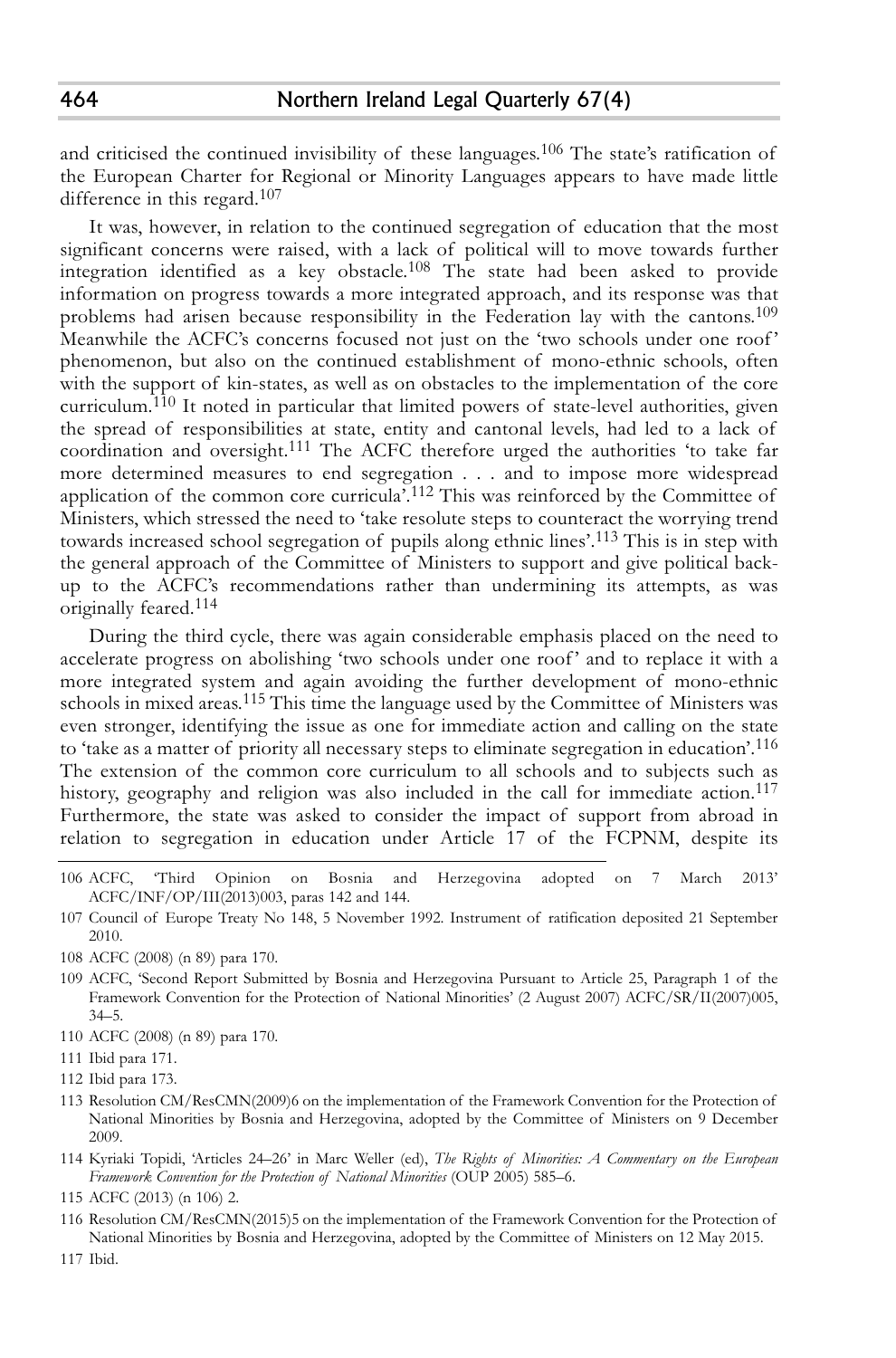and criticised the continued invisibility of these languages.<sup>106</sup> The state's ratification of the European Charter for Regional or Minority Languages appears to have made little difference in this regard. 107

It was, however, in relation to the continued segregation of education that the most significant concerns were raised, with a lack of political will to move towards further integration identified as a key obstacle.<sup>108</sup> The state had been asked to provide information on progress towards a more integrated approach, and its response was that problems had arisen because responsibility in the Federation lay with the cantons. 109 Meanwhile the ACFC's concerns focused not just on the 'two schools under one roof' phenomenon, but also on the continued establishment of mono-ethnic schools, often with the support of kin-states, as well as on obstacles to the implementation of the core curriculum. 110 It noted in particular that limited powers of state-level authorities, given the spread of responsibilities at state, entity and cantonal levels, had led to a lack of coordination and oversight. 111 The ACFC therefore urged the authorities 'to take far more determined measures to end segregation . . . and to impose more widespread application of the common core curricula'.<sup>112</sup> This was reinforced by the Committee of Ministers, which stressed the need to 'take resolute steps to counteract the worrying trend towards increased school segregation of pupils along ethnic lines'. 113 This is in step with the general approach of the Committee of Ministers to support and give political backup to the ACFC's recommendations rather than undermining its attempts, as was originally feared. 114

During the third cycle, there was again considerable emphasis placed on the need to accelerate progress on abolishing 'two schools under one roof' and to replace it with a more integrated system and again avoiding the further development of mono-ethnic schools in mixed areas.<sup>115</sup> This time the language used by the Committee of Ministers was even stronger, identifying the issue as one for immediate action and calling on the state to 'take as a matter of priority all necessary steps to eliminate segregation in education'. 116 The extension of the common core curriculum to all schools and to subjects such as history, geography and religion was also included in the call for immediate action.<sup>117</sup> Furthermore, the state was asked to consider the impact of support from abroad in relation to segregation in education under Article 17 of the FCPNM, despite its

- 106 ACFC, 'Third Opinion on Bosnia and Herzegovina adopted on 7 March 2013' ACFC/INF/OP/III(2013)003, paras 142 and 144.
- 107 Council of Europe Treaty No 148, 5 November 1992. Instrument of ratification deposited 21 September 2010.
- 108 ACFC (2008) (n 89) para 170.
- 109 ACFC, 'Second Report Submitted by Bosnia and Herzegovina Pursuant to Article 25, Paragraph 1 of the Framework Convention for the Protection of National Minorities' (2 August 2007) ACFC/SR/II(2007)005, 34–5.
- 110 ACFC (2008) (n 89) para 170.

- 113 Resolution CM/ResCMN(2009)6 on the implementation of the Framework Convention for the Protection of National Minorities by Bosnia and Herzegovina, adopted by the Committee of Ministers on 9 December 2009.
- 114 Kyriaki Topidi, 'Articles 24–26' in Marc Weller (ed), *The Rights of Minorities: A Commentary on the European Framework Convention for the Protection of National Minorities* (OUP 2005) 585–6.
- 115 ACFC (2013) (n 106) 2.

116 Resolution CM/ResCMN(2015)5 on the implementation of the Framework Convention for the Protection of National Minorities by Bosnia and Herzegovina, adopted by the Committee of Ministers on 12 May 2015.

117 Ibid.

<sup>111</sup> Ibid para 171.

<sup>112</sup> Ibid para 173.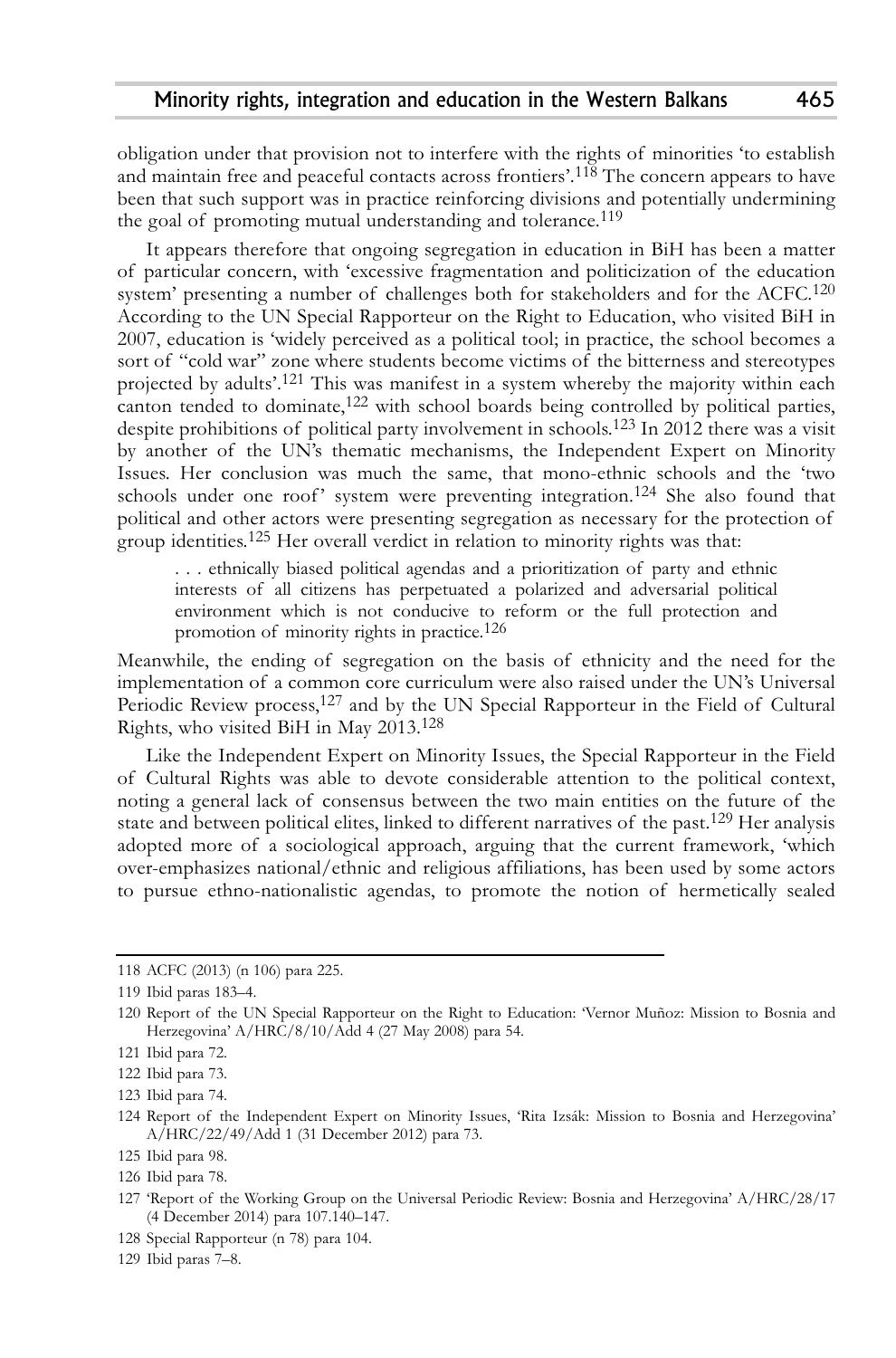obligation under that provision not to interfere with the rights of minorities 'to establish and maintain free and peaceful contacts across frontiers'. 118 The concern appears to have been that such support was in practice reinforcing divisions and potentially undermining the goal of promoting mutual understanding and tolerance. 119

It appears therefore that ongoing segregation in education in BiH has been a matter of particular concern, with 'excessive fragmentation and politicization of the education system' presenting a number of challenges both for stakeholders and for the ACFC. 120 According to the UN Special Rapporteur on the Right to Education, who visited BiH in 2007, education is 'widely perceived as a political tool; in practice, the school becomes a sort of "cold war" zone where students become victims of the bitterness and stereotypes projected by adults'. 121 This was manifest in a system whereby the majority within each canton tended to dominate, 122 with school boards being controlled by political parties, despite prohibitions of political party involvement in schools. 123 In 2012 there was a visit by another of the UN's thematic mechanisms, the Independent Expert on Minority Issues. Her conclusion was much the same, that mono-ethnic schools and the 'two schools under one roof' system were preventing integration. 124 She also found that political and other actors were presenting segregation as necessary for the protection of group identities. 125 Her overall verdict in relation to minority rights was that:

. . . ethnically biased political agendas and a prioritization of party and ethnic interests of all citizens has perpetuated a polarized and adversarial political environment which is not conducive to reform or the full protection and promotion of minority rights in practice. 126

Meanwhile, the ending of segregation on the basis of ethnicity and the need for the implementation of a common core curriculum were also raised under the UN's Universal Periodic Review process,<sup>127</sup> and by the UN Special Rapporteur in the Field of Cultural Rights, who visited BiH in May 2013. 128

Like the Independent Expert on Minority Issues, the Special Rapporteur in the Field of Cultural Rights was able to devote considerable attention to the political context, noting a general lack of consensus between the two main entities on the future of the state and between political elites, linked to different narratives of the past.<sup>129</sup> Her analysis adopted more of a sociological approach, arguing that the current framework, 'which over-emphasizes national/ethnic and religious affiliations, has been used by some actors to pursue ethno-nationalistic agendas, to promote the notion of hermetically sealed

129 Ibid paras 7–8.

<sup>118</sup> ACFC (2013) (n 106) para 225.

<sup>119</sup> Ibid paras 183–4.

<sup>120</sup> Report of the UN Special Rapporteur on the Right to Education: 'Vernor Muñoz: Mission to Bosnia and Herzegovina' A/HRC/8/10/Add 4 (27 May 2008) para 54.

<sup>121</sup> Ibid para 72.

<sup>122</sup> Ibid para 73.

<sup>123</sup> Ibid para 74.

<sup>124</sup> Report of the Independent Expert on Minority Issues, 'Rita Izsák: Mission to Bosnia and Herzegovina' A/HRC/22/49/Add 1 (31 December 2012) para 73.

<sup>125</sup> Ibid para 98.

<sup>126</sup> Ibid para 78.

<sup>127</sup> 'Report of the Working Group on the Universal Periodic Review: Bosnia and Herzegovina' A/HRC/28/17 (4 December 2014) para 107.140–147.

<sup>128</sup> Special Rapporteur (n 78) para 104.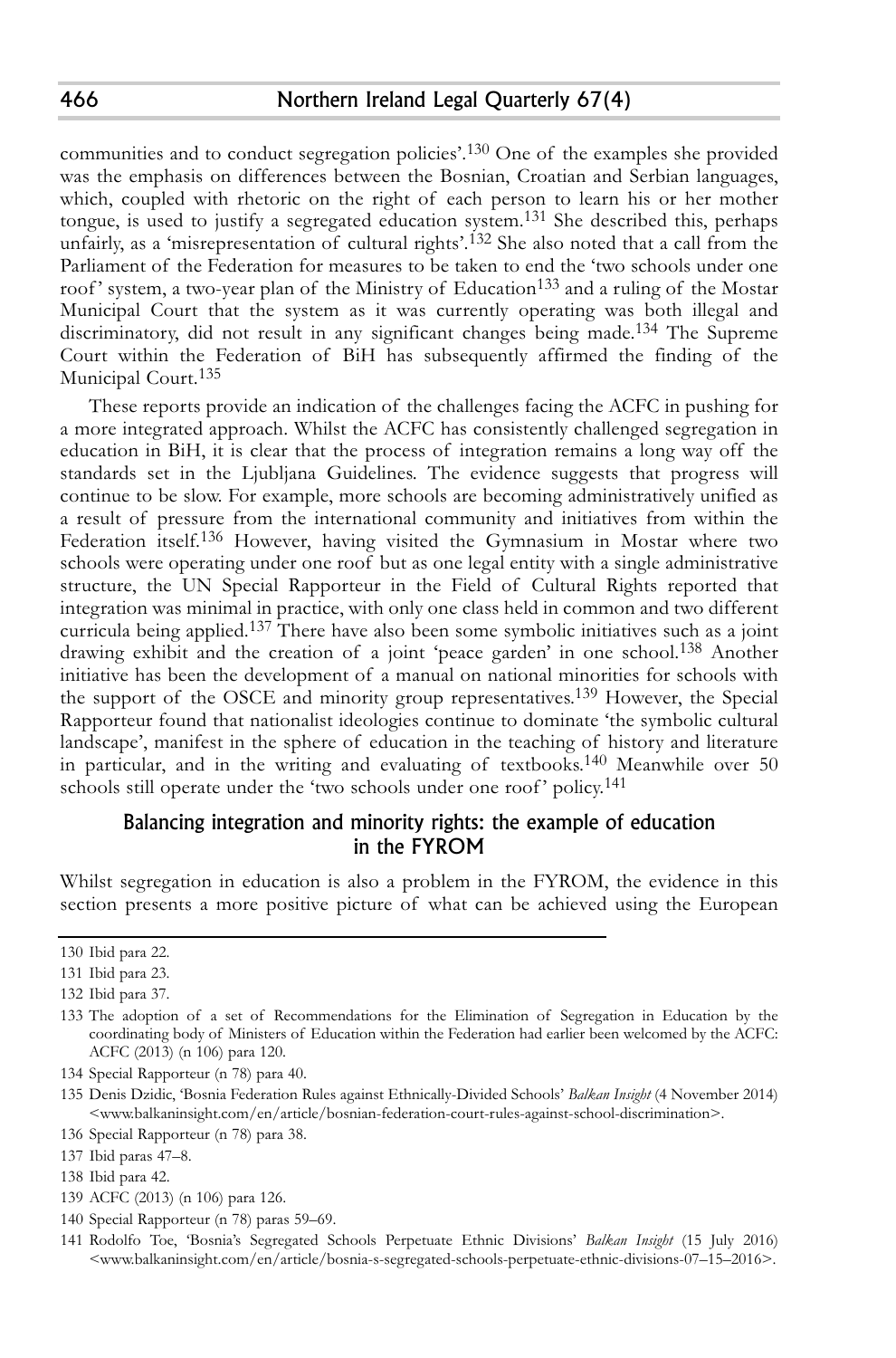communities and to conduct segregation policies'. 130 One of the examples she provided was the emphasis on differences between the Bosnian, Croatian and Serbian languages, which, coupled with rhetoric on the right of each person to learn his or her mother tongue, is used to justify a segregated education system. 131 She described this, perhaps unfairly, as a 'misrepresentation of cultural rights'. 132 She also noted that a call from the Parliament of the Federation for measures to be taken to end the 'two schools under one roof' system, a two-year plan of the Ministry of Education<sup>133</sup> and a ruling of the Mostar Municipal Court that the system as it was currently operating was both illegal and discriminatory, did not result in any significant changes being made. 134 The Supreme Court within the Federation of BiH has subsequently affirmed the finding of the Municipal Court. 135

These reports provide an indication of the challenges facing the ACFC in pushing for a more integrated approach. Whilst the ACFC has consistently challenged segregation in education in BiH, it is clear that the process of integration remains a long way off the standards set in the Ljubljana Guidelines. The evidence suggests that progress will continue to be slow. For example, more schools are becoming administratively unified as a result of pressure from the international community and initiatives from within the Federation itself.<sup>136</sup> However, having visited the Gymnasium in Mostar where two schools were operating under one roof but as one legal entity with a single administrative structure, the UN Special Rapporteur in the Field of Cultural Rights reported that integration was minimal in practice, with only one class held in common and two different curricula being applied. 137 There have also been some symbolic initiatives such as a joint drawing exhibit and the creation of a joint 'peace garden' in one school. 138 Another initiative has been the development of a manual on national minorities for schools with the support of the OSCE and minority group representatives. 139 However, the Special Rapporteur found that nationalist ideologies continue to dominate 'the symbolic cultural landscape', manifest in the sphere of education in the teaching of history and literature in particular, and in the writing and evaluating of textbooks. 140 Meanwhile over 50 schools still operate under the 'two schools under one roof' policy. 141

# Balancing integration and minority rights: the example of education in the FYROM

Whilst segregation in education is also a problem in the FYROM, the evidence in this section presents a more positive picture of what can be achieved using the European

- 139 ACFC (2013) (n 106) para 126.
- 140 Special Rapporteur (n 78) paras 59–69.

<sup>130</sup> Ibid para 22.

<sup>131</sup> Ibid para 23.

<sup>132</sup> Ibid para 37.

<sup>133</sup> The adoption of a set of Recommendations for the Elimination of Segregation in Education by the coordinating body of Ministers of Education within the Federation had earlier been welcomed by the ACFC: ACFC (2013) (n 106) para 120.

<sup>134</sup> Special Rapporteur (n 78) para 40.

<sup>135</sup> Denis Dzidic, 'Bosnia Federation Rules against Ethnically-Divided Schools' *Balkan Insight* (4 November 2014) <www.balkaninsight.com/en/article/bosnian-federation-court-rules-against-school-discrimination>.

<sup>136</sup> Special Rapporteur (n 78) para 38.

<sup>137</sup> Ibid paras 47–8.

<sup>138</sup> Ibid para 42.

<sup>141</sup> Rodolfo Toe, 'Bosnia's Segregated Schools Perpetuate Ethnic Divisions' *Balkan Insight* (15 July 2016) <www.balkaninsight.com/en/article/bosnia-s-segregated-schools-perpetuate-ethnic-divisions-07–15–2016>.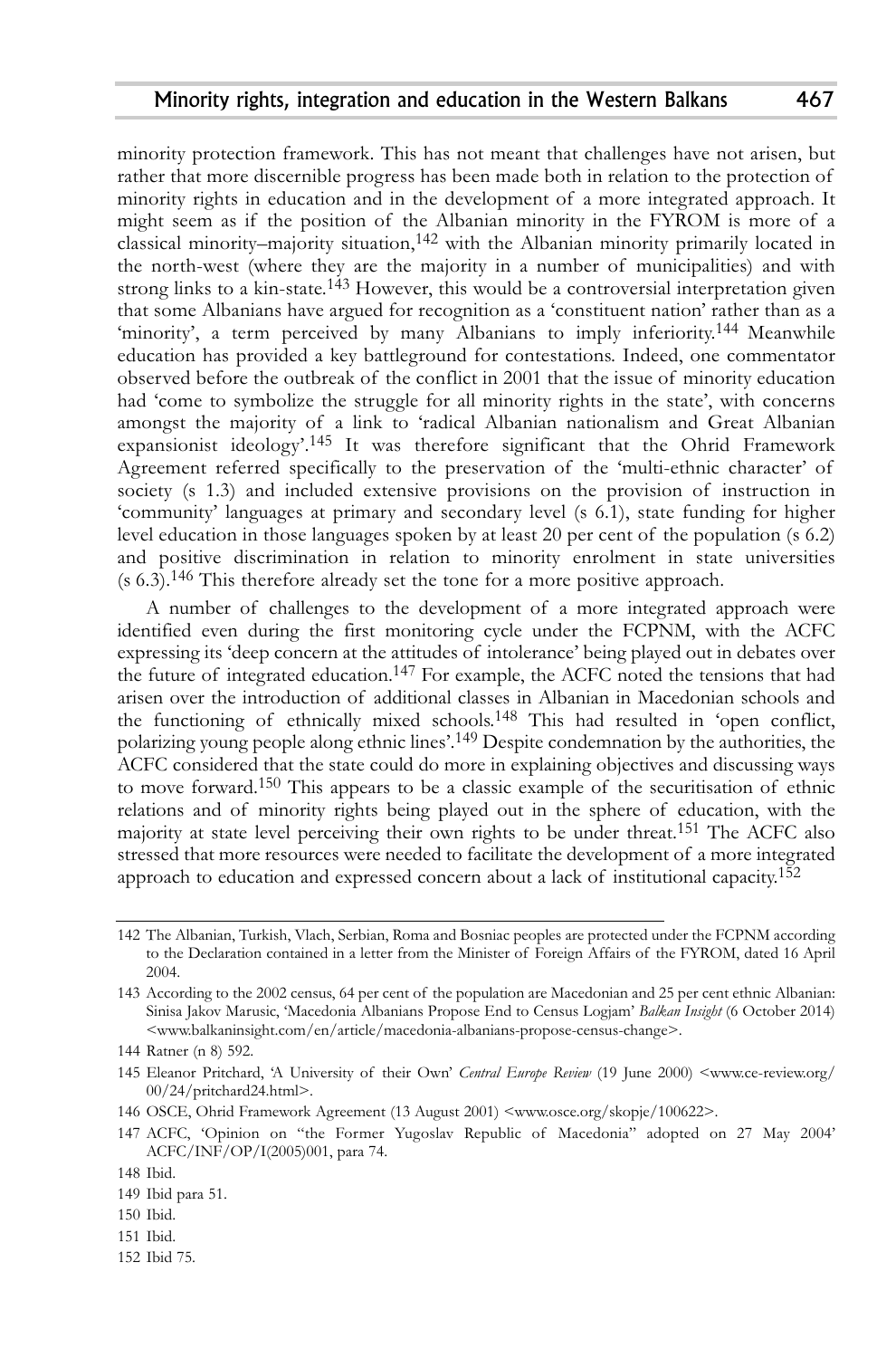minority protection framework. This has not meant that challenges have not arisen, but rather that more discernible progress has been made both in relation to the protection of minority rights in education and in the development of a more integrated approach. It might seem as if the position of the Albanian minority in the FYROM is more of a classical minority–majority situation, 142 with the Albanian minority primarily located in the north-west (where they are the majority in a number of municipalities) and with strong links to a kin-state. 143 However, this would be a controversial interpretation given that some Albanians have argued for recognition as a 'constituent nation' rather than as a 'minority', a term perceived by many Albanians to imply inferiority.<sup>144</sup> Meanwhile education has provided a key battleground for contestations. Indeed, one commentator observed before the outbreak of the conflict in 2001 that the issue of minority education had 'come to symbolize the struggle for all minority rights in the state', with concerns amongst the majority of a link to 'radical Albanian nationalism and Great Albanian expansionist ideology'. 145 It was therefore significant that the Ohrid Framework Agreement referred specifically to the preservation of the 'multi-ethnic character' of society (s 1.3) and included extensive provisions on the provision of instruction in 'community' languages at primary and secondary level (s 6.1), state funding for higher level education in those languages spoken by at least 20 per cent of the population (s 6.2) and positive discrimination in relation to minority enrolment in state universities (s 6.3). 146 This therefore already set the tone for a more positive approach.

A number of challenges to the development of a more integrated approach were identified even during the first monitoring cycle under the FCPNM, with the ACFC expressing its 'deep concern at the attitudes of intolerance' being played out in debates over the future of integrated education.<sup>147</sup> For example, the ACFC noted the tensions that had arisen over the introduction of additional classes in Albanian in Macedonian schools and the functioning of ethnically mixed schools. 148 This had resulted in 'open conflict, polarizing young people along ethnic lines'.<sup>149</sup> Despite condemnation by the authorities, the ACFC considered that the state could do more in explaining objectives and discussing ways to move forward. 150 This appears to be a classic example of the securitisation of ethnic relations and of minority rights being played out in the sphere of education, with the majority at state level perceiving their own rights to be under threat. 151 The ACFC also stressed that more resources were needed to facilitate the development of a more integrated approach to education and expressed concern about a lack of institutional capacity.<sup>152</sup>

- 146 OSCE, Ohrid Framework Agreement (13 August 2001) <www.osce.org/skopje/100622>.
- 147 ACFC, 'Opinion on "the Former Yugoslav Republic of Macedonia" adopted on 27 May 2004' ACFC/INF/OP/I(2005)001, para 74.

- 150 Ibid.
- 151 Ibid.
- 152 Ibid 75.

<sup>142</sup> The Albanian, Turkish, Vlach, Serbian, Roma and Bosniac peoples are protected under the FCPNM according to the Declaration contained in a letter from the Minister of Foreign Affairs of the FYROM, dated 16 April 2004.

<sup>143</sup> According to the 2002 census, 64 per cent of the population are Macedonian and 25 per cent ethnic Albanian: Sinisa Jakov Marusic, 'Macedonia Albanians Propose End to Census Logjam' *Balkan Insight* (6 October 2014) <www.balkaninsight.com/en/article/macedonia-albanians-propose-census-change>.

<sup>144</sup> Ratner (n 8) 592.

<sup>145</sup> Eleanor Pritchard, 'A University of their Own' *Central Europe Review* (19 June 2000) <www.ce-review.org/ 00/24/pritchard24.html>.

<sup>148</sup> Ibid.

<sup>149</sup> Ibid para 51.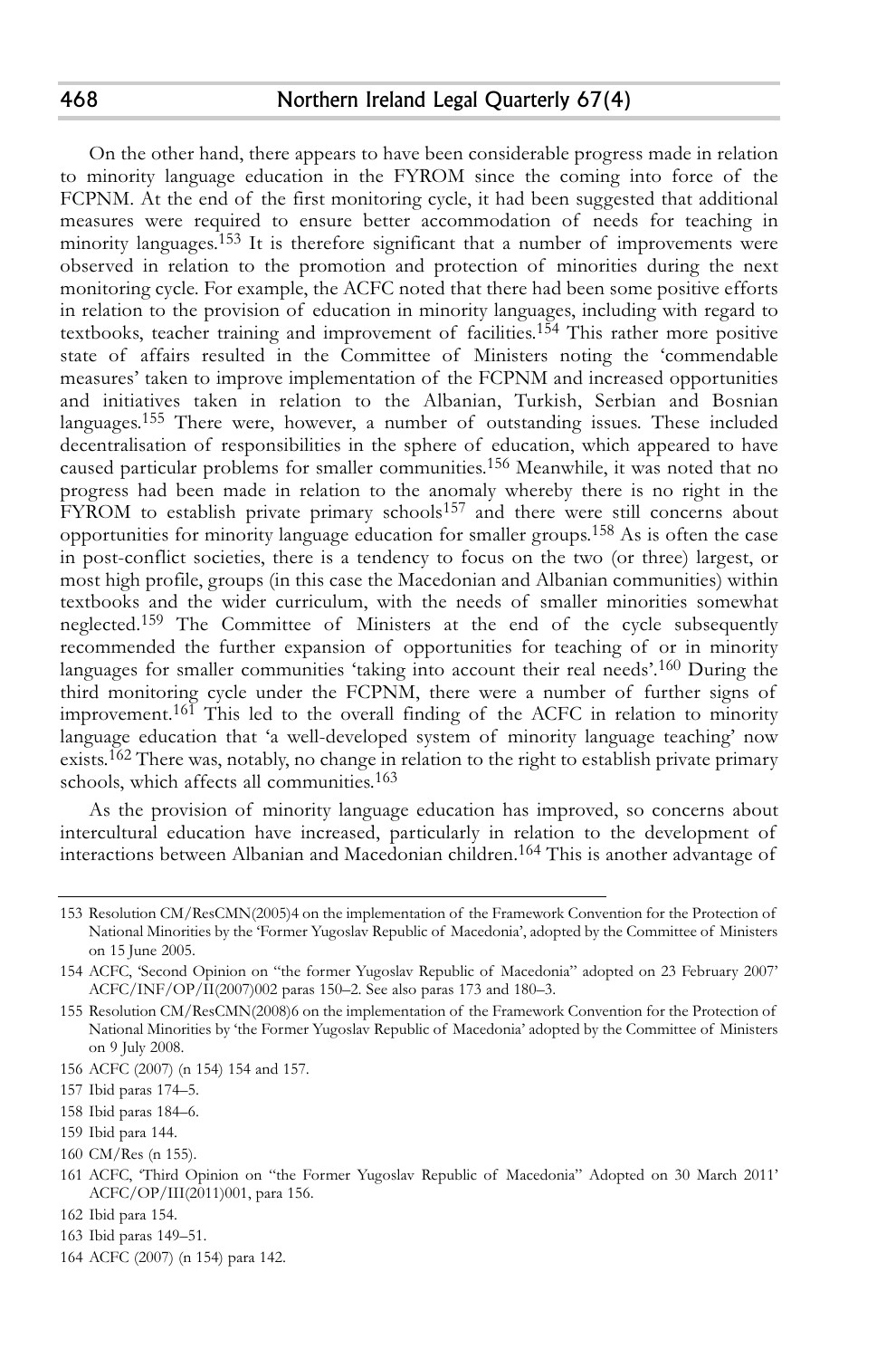On the other hand, there appears to have been considerable progress made in relation to minority language education in the FYROM since the coming into force of the FCPNM. At the end of the first monitoring cycle, it had been suggested that additional measures were required to ensure better accommodation of needs for teaching in minority languages. 153 It is therefore significant that a number of improvements were observed in relation to the promotion and protection of minorities during the next monitoring cycle. For example, the ACFC noted that there had been some positive efforts in relation to the provision of education in minority languages, including with regard to textbooks, teacher training and improvement of facilities. 154 This rather more positive state of affairs resulted in the Committee of Ministers noting the 'commendable measures' taken to improve implementation of the FCPNM and increased opportunities and initiatives taken in relation to the Albanian, Turkish, Serbian and Bosnian languages. 155 There were, however, a number of outstanding issues. These included decentralisation of responsibilities in the sphere of education, which appeared to have caused particular problems for smaller communities. 156 Meanwhile, it was noted that no progress had been made in relation to the anomaly whereby there is no right in the FYROM to establish private primary schools<sup>157</sup> and there were still concerns about opportunities for minority language education for smaller groups. 158 As is often the case in post-conflict societies, there is a tendency to focus on the two (or three) largest, or most high profile, groups (in this case the Macedonian and Albanian communities) within textbooks and the wider curriculum, with the needs of smaller minorities somewhat neglected.<sup>159</sup> The Committee of Ministers at the end of the cycle subsequently recommended the further expansion of opportunities for teaching of or in minority languages for smaller communities 'taking into account their real needs'.<sup>160</sup> During the third monitoring cycle under the FCPNM, there were a number of further signs of improvement. 161 This led to the overall finding of the ACFC in relation to minority language education that 'a well-developed system of minority language teaching' now exists.<sup>162</sup> There was, notably, no change in relation to the right to establish private primary schools, which affects all communities. 163

As the provision of minority language education has improved, so concerns about intercultural education have increased, particularly in relation to the development of interactions between Albanian and Macedonian children. 164 This is another advantage of

468

<sup>153</sup> Resolution CM/ResCMN(2005)4 on the implementation of the Framework Convention for the Protection of National Minorities by the 'Former Yugoslav Republic of Macedonia', adopted by the Committee of Ministers on 15 June 2005.

<sup>154</sup> ACFC, 'Second Opinion on "the former Yugoslav Republic of Macedonia" adopted on 23 February 2007' ACFC/INF/OP/II(2007)002 paras 150–2. See also paras 173 and 180–3.

<sup>155</sup> Resolution CM/ResCMN(2008)6 on the implementation of the Framework Convention for the Protection of National Minorities by 'the Former Yugoslav Republic of Macedonia' adopted by the Committee of Ministers on 9 July 2008.

<sup>156</sup> ACFC (2007) (n 154) 154 and 157.

<sup>157</sup> Ibid paras 174–5.

<sup>158</sup> Ibid paras 184–6.

<sup>159</sup> Ibid para 144.

<sup>160</sup> CM/Res (n 155).

<sup>161</sup> ACFC, 'Third Opinion on "the Former Yugoslav Republic of Macedonia" Adopted on 30 March 2011' ACFC/OP/III(2011)001, para 156.

<sup>162</sup> Ibid para 154.

<sup>163</sup> Ibid paras 149–51.

<sup>164</sup> ACFC (2007) (n 154) para 142.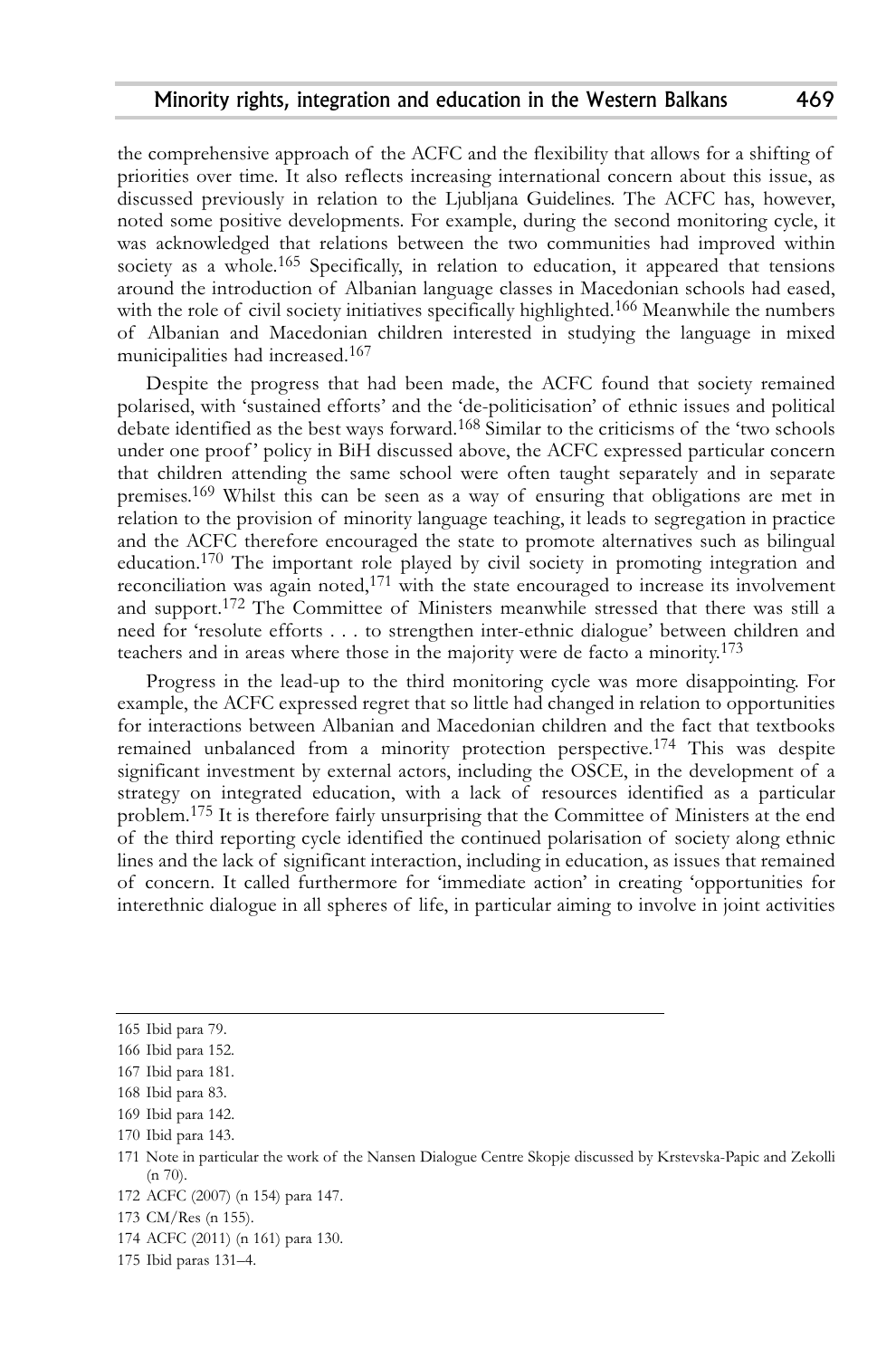the comprehensive approach of the ACFC and the flexibility that allows for a shifting of priorities over time. It also reflects increasing international concern about this issue, as discussed previously in relation to the Ljubljana Guidelines. The ACFC has, however, noted some positive developments. For example, during the second monitoring cycle, it was acknowledged that relations between the two communities had improved within society as a whole. 165 Specifically, in relation to education, it appeared that tensions around the introduction of Albanian language classes in Macedonian schools had eased, with the role of civil society initiatives specifically highlighted.<sup>166</sup> Meanwhile the numbers of Albanian and Macedonian children interested in studying the language in mixed municipalities had increased. 167

Despite the progress that had been made, the ACFC found that society remained polarised, with 'sustained efforts' and the 'de-politicisation' of ethnic issues and political debate identified as the best ways forward. 168 Similar to the criticisms of the 'two schools under one proof' policy in BiH discussed above, the ACFC expressed particular concern that children attending the same school were often taught separately and in separate premises. 169 Whilst this can be seen as a way of ensuring that obligations are met in relation to the provision of minority language teaching, it leads to segregation in practice and the ACFC therefore encouraged the state to promote alternatives such as bilingual education. 170 The important role played by civil society in promoting integration and reconciliation was again noted,<sup>171</sup> with the state encouraged to increase its involvement and support. 172 The Committee of Ministers meanwhile stressed that there was still a need for 'resolute efforts . . . to strengthen inter-ethnic dialogue' between children and teachers and in areas where those in the majority were de facto a minority. 173

Progress in the lead-up to the third monitoring cycle was more disappointing. For example, the ACFC expressed regret that so little had changed in relation to opportunities for interactions between Albanian and Macedonian children and the fact that textbooks remained unbalanced from a minority protection perspective.<sup>174</sup> This was despite significant investment by external actors, including the OSCE, in the development of a strategy on integrated education, with a lack of resources identified as a particular problem. 175 It is therefore fairly unsurprising that the Committee of Ministers at the end of the third reporting cycle identified the continued polarisation of society along ethnic lines and the lack of significant interaction, including in education, as issues that remained of concern. It called furthermore for 'immediate action' in creating 'opportunities for interethnic dialogue in all spheres of life, in particular aiming to involve in joint activities

<sup>165</sup> Ibid para 79.

<sup>166</sup> Ibid para 152.

<sup>167</sup> Ibid para 181.

<sup>168</sup> Ibid para 83.

<sup>169</sup> Ibid para 142.

<sup>170</sup> Ibid para 143.

<sup>171</sup> Note in particular the work of the Nansen Dialogue Centre Skopje discussed by Krstevska-Papic and Zekolli  $(n 70)$ .

<sup>172</sup> ACFC (2007) (n 154) para 147.

<sup>173</sup> CM/Res (n 155).

<sup>174</sup> ACFC (2011) (n 161) para 130.

<sup>175</sup> Ibid paras 131–4.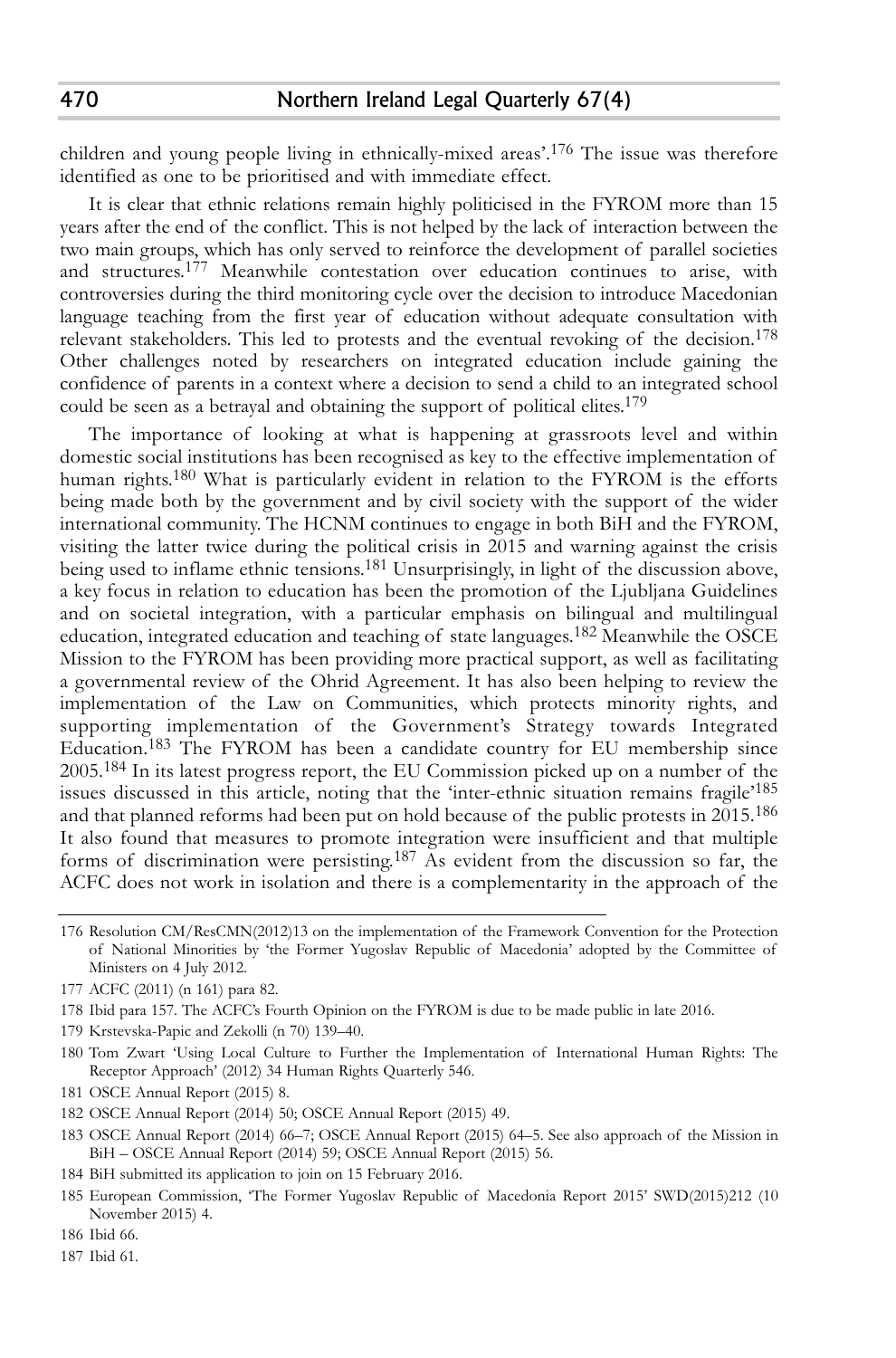children and young people living in ethnically-mixed areas'. 176 The issue was therefore identified as one to be prioritised and with immediate effect.

It is clear that ethnic relations remain highly politicised in the FYROM more than 15 years after the end of the conflict. This is not helped by the lack of interaction between the two main groups, which has only served to reinforce the development of parallel societies and structures. 177 Meanwhile contestation over education continues to arise, with controversies during the third monitoring cycle over the decision to introduce Macedonian language teaching from the first year of education without adequate consultation with relevant stakeholders. This led to protests and the eventual revoking of the decision. 178 Other challenges noted by researchers on integrated education include gaining the confidence of parents in a context where a decision to send a child to an integrated school could be seen as a betrayal and obtaining the support of political elites. 179

The importance of looking at what is happening at grassroots level and within domestic social institutions has been recognised as key to the effective implementation of human rights. 180 What is particularly evident in relation to the FYROM is the efforts being made both by the government and by civil society with the support of the wider international community. The HCNM continues to engage in both BiH and the FYROM, visiting the latter twice during the political crisis in 2015 and warning against the crisis being used to inflame ethnic tensions. 181 Unsurprisingly, in light of the discussion above, a key focus in relation to education has been the promotion of the Ljubljana Guidelines and on societal integration, with a particular emphasis on bilingual and multilingual education, integrated education and teaching of state languages. 182 Meanwhile the OSCE Mission to the FYROM has been providing more practical support, as well as facilitating a governmental review of the Ohrid Agreement. It has also been helping to review the implementation of the Law on Communities, which protects minority rights, and supporting implementation of the Government's Strategy towards Integrated Education. 183 The FYROM has been a candidate country for EU membership since 2005. 184 In its latest progress report, the EU Commission picked up on a number of the issues discussed in this article, noting that the 'inter-ethnic situation remains fragile' 185 and that planned reforms had been put on hold because of the public protests in  $2\bar{0}$ 15. $^{186}$ It also found that measures to promote integration were insufficient and that multiple forms of discrimination were persisting. 187 As evident from the discussion so far, the ACFC does not work in isolation and there is a complementarity in the approach of the

- 179 Krstevska-Papic and Zekolli (n 70) 139–40.
- 180 Tom Zwart 'Using Local Culture to Further the Implementation of International Human Rights: The Receptor Approach' (2012) 34 Human Rights Quarterly 546.
- 181 OSCE Annual Report (2015) 8.
- 182 OSCE Annual Report (2014) 50; OSCE Annual Report (2015) 49.
- 183 OSCE Annual Report (2014) 66–7; OSCE Annual Report (2015) 64–5. See also approach of the Mission in BiH – OSCE Annual Report (2014) 59; OSCE Annual Report (2015) 56.
- 184 BiH submitted its application to join on 15 February 2016.
- 185 European Commission, 'The Former Yugoslav Republic of Macedonia Report 2015' SWD(2015)212 (10 November 2015) 4.
- 186 Ibid 66.
- 187 Ibid 61.

<sup>176</sup> Resolution CM/ResCMN(2012)13 on the implementation of the Framework Convention for the Protection of National Minorities by 'the Former Yugoslav Republic of Macedonia' adopted by the Committee of Ministers on 4 July 2012.

<sup>177</sup> ACFC (2011) (n 161) para 82.

<sup>178</sup> Ibid para 157. The ACFC's Fourth Opinion on the FYROM is due to be made public in late 2016.